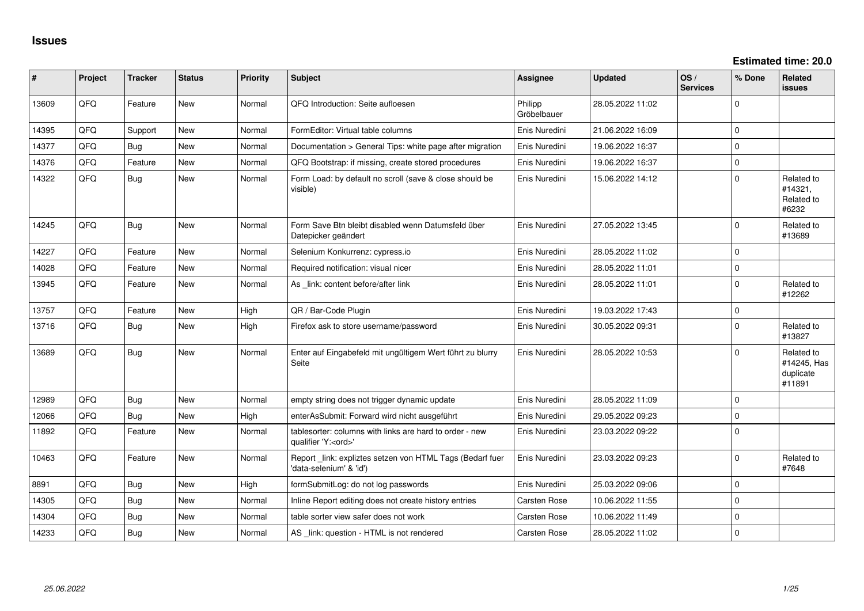| ∥ #   | Project | <b>Tracker</b> | <b>Status</b> | <b>Priority</b> | <b>Subject</b>                                                                        | <b>Assignee</b>        | <b>Updated</b>   | OS/<br><b>Services</b> | % Done      | Related<br>issues                                |
|-------|---------|----------------|---------------|-----------------|---------------------------------------------------------------------------------------|------------------------|------------------|------------------------|-------------|--------------------------------------------------|
| 13609 | QFQ     | Feature        | New           | Normal          | QFQ Introduction: Seite aufloesen                                                     | Philipp<br>Gröbelbauer | 28.05.2022 11:02 |                        | $\Omega$    |                                                  |
| 14395 | QFQ     | Support        | <b>New</b>    | Normal          | FormEditor: Virtual table columns                                                     | Enis Nuredini          | 21.06.2022 16:09 |                        | $\mathbf 0$ |                                                  |
| 14377 | QFQ     | Bug            | New           | Normal          | Documentation > General Tips: white page after migration                              | Enis Nuredini          | 19.06.2022 16:37 |                        | $\mathbf 0$ |                                                  |
| 14376 | QFQ     | Feature        | <b>New</b>    | Normal          | QFQ Bootstrap: if missing, create stored procedures                                   | Enis Nuredini          | 19.06.2022 16:37 |                        | $\mathbf 0$ |                                                  |
| 14322 | QFQ     | <b>Bug</b>     | New           | Normal          | Form Load: by default no scroll (save & close should be<br>visible)                   | Enis Nuredini          | 15.06.2022 14:12 |                        | $\mathbf 0$ | Related to<br>#14321,<br>Related to<br>#6232     |
| 14245 | QFQ     | Bug            | <b>New</b>    | Normal          | Form Save Btn bleibt disabled wenn Datumsfeld über<br>Datepicker geändert             | Enis Nuredini          | 27.05.2022 13:45 |                        | $\mathbf 0$ | Related to<br>#13689                             |
| 14227 | QFQ     | Feature        | <b>New</b>    | Normal          | Selenium Konkurrenz: cypress.io                                                       | Enis Nuredini          | 28.05.2022 11:02 |                        | $\Omega$    |                                                  |
| 14028 | QFQ     | Feature        | <b>New</b>    | Normal          | Required notification: visual nicer                                                   | Enis Nuredini          | 28.05.2022 11:01 |                        | $\Omega$    |                                                  |
| 13945 | QFQ     | Feature        | <b>New</b>    | Normal          | As _link: content before/after link                                                   | Enis Nuredini          | 28.05.2022 11:01 |                        | $\Omega$    | Related to<br>#12262                             |
| 13757 | QFQ     | Feature        | <b>New</b>    | High            | QR / Bar-Code Plugin                                                                  | Enis Nuredini          | 19.03.2022 17:43 |                        | $\mathbf 0$ |                                                  |
| 13716 | QFQ     | <b>Bug</b>     | New           | High            | Firefox ask to store username/password                                                | Enis Nuredini          | 30.05.2022 09:31 |                        | $\Omega$    | Related to<br>#13827                             |
| 13689 | QFQ     | <b>Bug</b>     | New           | Normal          | Enter auf Eingabefeld mit ungültigem Wert führt zu blurry<br>Seite                    | Enis Nuredini          | 28.05.2022 10:53 |                        | $\Omega$    | Related to<br>#14245, Has<br>duplicate<br>#11891 |
| 12989 | QFQ     | Bug            | New           | Normal          | empty string does not trigger dynamic update                                          | Enis Nuredini          | 28.05.2022 11:09 |                        | $\mathbf 0$ |                                                  |
| 12066 | QFQ     | <b>Bug</b>     | New           | High            | enterAsSubmit: Forward wird nicht ausgeführt                                          | Enis Nuredini          | 29.05.2022 09:23 |                        | $\Omega$    |                                                  |
| 11892 | QFQ     | Feature        | New           | Normal          | tablesorter: columns with links are hard to order - new<br>qualifier 'Y: <ord>'</ord> | Enis Nuredini          | 23.03.2022 09:22 |                        | $\mathbf 0$ |                                                  |
| 10463 | QFQ     | Feature        | <b>New</b>    | Normal          | Report link: expliztes setzen von HTML Tags (Bedarf fuer<br>'data-selenium' & 'id')   | Enis Nuredini          | 23.03.2022 09:23 |                        | $\Omega$    | Related to<br>#7648                              |
| 8891  | QFQ     | Bug            | <b>New</b>    | High            | formSubmitLog: do not log passwords                                                   | Enis Nuredini          | 25.03.2022 09:06 |                        | $\mathbf 0$ |                                                  |
| 14305 | QFQ     | <b>Bug</b>     | <b>New</b>    | Normal          | Inline Report editing does not create history entries                                 | <b>Carsten Rose</b>    | 10.06.2022 11:55 |                        | 0           |                                                  |
| 14304 | QFQ     | Bug            | New           | Normal          | table sorter view safer does not work                                                 | <b>Carsten Rose</b>    | 10.06.2022 11:49 |                        | $\Omega$    |                                                  |
| 14233 | QFQ     | Bug            | <b>New</b>    | Normal          | AS _link: question - HTML is not rendered                                             | Carsten Rose           | 28.05.2022 11:02 |                        | $\Omega$    |                                                  |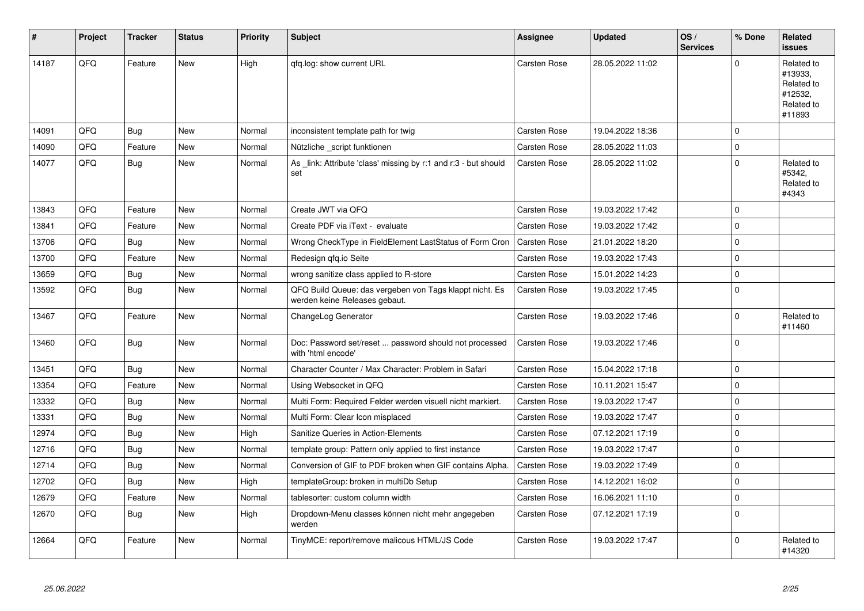| #     | Project | <b>Tracker</b> | <b>Status</b> | <b>Priority</b> | <b>Subject</b>                                                                           | <b>Assignee</b>     | <b>Updated</b>   | OS/<br><b>Services</b> | % Done   | Related<br><b>issues</b>                                               |
|-------|---------|----------------|---------------|-----------------|------------------------------------------------------------------------------------------|---------------------|------------------|------------------------|----------|------------------------------------------------------------------------|
| 14187 | QFQ     | Feature        | <b>New</b>    | High            | qfq.log: show current URL                                                                | Carsten Rose        | 28.05.2022 11:02 |                        | $\Omega$ | Related to<br>#13933,<br>Related to<br>#12532,<br>Related to<br>#11893 |
| 14091 | QFQ     | Bug            | <b>New</b>    | Normal          | inconsistent template path for twig                                                      | Carsten Rose        | 19.04.2022 18:36 |                        | $\Omega$ |                                                                        |
| 14090 | QFQ     | Feature        | <b>New</b>    | Normal          | Nützliche _script funktionen                                                             | <b>Carsten Rose</b> | 28.05.2022 11:03 |                        | $\Omega$ |                                                                        |
| 14077 | QFQ     | Bug            | New           | Normal          | As link: Attribute 'class' missing by r:1 and r:3 - but should<br>set                    | Carsten Rose        | 28.05.2022 11:02 |                        | $\Omega$ | Related to<br>#5342,<br>Related to<br>#4343                            |
| 13843 | QFQ     | Feature        | <b>New</b>    | Normal          | Create JWT via QFQ                                                                       | Carsten Rose        | 19.03.2022 17:42 |                        | $\Omega$ |                                                                        |
| 13841 | QFQ     | Feature        | <b>New</b>    | Normal          | Create PDF via iText - evaluate                                                          | <b>Carsten Rose</b> | 19.03.2022 17:42 |                        | $\Omega$ |                                                                        |
| 13706 | QFQ     | <b>Bug</b>     | New           | Normal          | Wrong CheckType in FieldElement LastStatus of Form Cron                                  | <b>Carsten Rose</b> | 21.01.2022 18:20 |                        | $\Omega$ |                                                                        |
| 13700 | QFQ     | Feature        | New           | Normal          | Redesign qfq.io Seite                                                                    | Carsten Rose        | 19.03.2022 17:43 |                        | $\Omega$ |                                                                        |
| 13659 | QFQ     | <b>Bug</b>     | <b>New</b>    | Normal          | wrong sanitize class applied to R-store                                                  | <b>Carsten Rose</b> | 15.01.2022 14:23 |                        | $\Omega$ |                                                                        |
| 13592 | QFQ     | <b>Bug</b>     | New           | Normal          | QFQ Build Queue: das vergeben von Tags klappt nicht. Es<br>werden keine Releases gebaut. | <b>Carsten Rose</b> | 19.03.2022 17:45 |                        | $\Omega$ |                                                                        |
| 13467 | QFQ     | Feature        | New           | Normal          | ChangeLog Generator                                                                      | Carsten Rose        | 19.03.2022 17:46 |                        | $\Omega$ | Related to<br>#11460                                                   |
| 13460 | QFQ     | Bug            | New           | Normal          | Doc: Password set/reset  password should not processed<br>with 'html encode'             | Carsten Rose        | 19.03.2022 17:46 |                        | $\Omega$ |                                                                        |
| 13451 | QFQ     | <b>Bug</b>     | <b>New</b>    | Normal          | Character Counter / Max Character: Problem in Safari                                     | Carsten Rose        | 15.04.2022 17:18 |                        | 0        |                                                                        |
| 13354 | QFQ     | Feature        | <b>New</b>    | Normal          | Using Websocket in QFQ                                                                   | Carsten Rose        | 10.11.2021 15:47 |                        | $\Omega$ |                                                                        |
| 13332 | QFQ     | <b>Bug</b>     | <b>New</b>    | Normal          | Multi Form: Required Felder werden visuell nicht markiert.                               | Carsten Rose        | 19.03.2022 17:47 |                        | $\Omega$ |                                                                        |
| 13331 | QFQ     | <b>Bug</b>     | <b>New</b>    | Normal          | Multi Form: Clear Icon misplaced                                                         | Carsten Rose        | 19.03.2022 17:47 |                        | $\Omega$ |                                                                        |
| 12974 | QFQ     | <b>Bug</b>     | New           | High            | Sanitize Queries in Action-Elements                                                      | Carsten Rose        | 07.12.2021 17:19 |                        | $\Omega$ |                                                                        |
| 12716 | QFQ     | <b>Bug</b>     | <b>New</b>    | Normal          | template group: Pattern only applied to first instance                                   | <b>Carsten Rose</b> | 19.03.2022 17:47 |                        | $\Omega$ |                                                                        |
| 12714 | QFQ     | <b>Bug</b>     | <b>New</b>    | Normal          | Conversion of GIF to PDF broken when GIF contains Alpha.                                 | Carsten Rose        | 19.03.2022 17:49 |                        | $\Omega$ |                                                                        |
| 12702 | QFQ     | <b>Bug</b>     | <b>New</b>    | High            | templateGroup: broken in multiDb Setup                                                   | Carsten Rose        | 14.12.2021 16:02 |                        | $\Omega$ |                                                                        |
| 12679 | QFQ     | Feature        | New           | Normal          | tablesorter: custom column width                                                         | Carsten Rose        | 16.06.2021 11:10 |                        | $\Omega$ |                                                                        |
| 12670 | QFQ     | <b>Bug</b>     | <b>New</b>    | High            | Dropdown-Menu classes können nicht mehr angegeben<br>werden                              | Carsten Rose        | 07.12.2021 17:19 |                        | $\Omega$ |                                                                        |
| 12664 | QFQ     | Feature        | New           | Normal          | TinyMCE: report/remove malicous HTML/JS Code                                             | Carsten Rose        | 19.03.2022 17:47 |                        | $\Omega$ | Related to<br>#14320                                                   |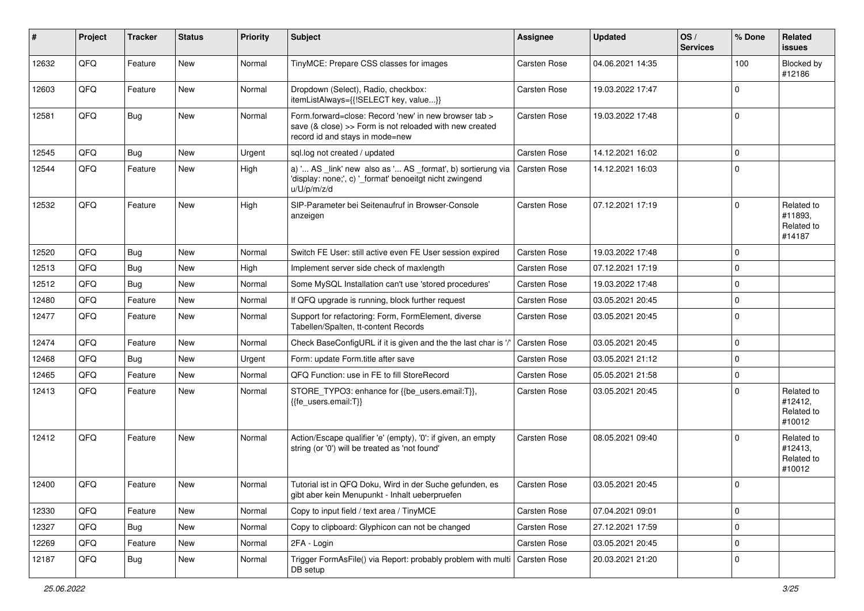| $\sharp$ | Project | <b>Tracker</b> | <b>Status</b> | <b>Priority</b> | <b>Subject</b>                                                                                                                                      | Assignee            | <b>Updated</b>   | OS/<br><b>Services</b> | % Done      | Related<br><b>issues</b>                      |
|----------|---------|----------------|---------------|-----------------|-----------------------------------------------------------------------------------------------------------------------------------------------------|---------------------|------------------|------------------------|-------------|-----------------------------------------------|
| 12632    | QFQ     | Feature        | <b>New</b>    | Normal          | TinyMCE: Prepare CSS classes for images                                                                                                             | Carsten Rose        | 04.06.2021 14:35 |                        | 100         | Blocked by<br>#12186                          |
| 12603    | QFQ     | Feature        | New           | Normal          | Dropdown (Select), Radio, checkbox:<br>itemListAlways={{!SELECT key, value}}                                                                        | Carsten Rose        | 19.03.2022 17:47 |                        | $\mathbf 0$ |                                               |
| 12581    | QFQ     | <b>Bug</b>     | New           | Normal          | Form.forward=close: Record 'new' in new browser tab ><br>save (& close) >> Form is not reloaded with new created<br>record id and stays in mode=new | Carsten Rose        | 19.03.2022 17:48 |                        | $\mathbf 0$ |                                               |
| 12545    | QFQ     | <b>Bug</b>     | <b>New</b>    | Urgent          | sql.log not created / updated                                                                                                                       | Carsten Rose        | 14.12.2021 16:02 |                        | $\mathbf 0$ |                                               |
| 12544    | QFQ     | Feature        | New           | High            | a) ' AS _link' new also as ' AS _format', b) sortierung via<br>'display: none;', c) '_format' benoeitgt nicht zwingend<br>u/U/p/m/z/d               | <b>Carsten Rose</b> | 14.12.2021 16:03 |                        | $\Omega$    |                                               |
| 12532    | QFQ     | Feature        | New           | High            | SIP-Parameter bei Seitenaufruf in Browser-Console<br>anzeigen                                                                                       | Carsten Rose        | 07.12.2021 17:19 |                        | $\mathbf 0$ | Related to<br>#11893,<br>Related to<br>#14187 |
| 12520    | QFQ     | <b>Bug</b>     | New           | Normal          | Switch FE User: still active even FE User session expired                                                                                           | Carsten Rose        | 19.03.2022 17:48 |                        | $\mathbf 0$ |                                               |
| 12513    | QFQ     | <b>Bug</b>     | New           | High            | Implement server side check of maxlength                                                                                                            | Carsten Rose        | 07.12.2021 17:19 |                        | $\mathbf 0$ |                                               |
| 12512    | QFQ     | <b>Bug</b>     | New           | Normal          | Some MySQL Installation can't use 'stored procedures'                                                                                               | Carsten Rose        | 19.03.2022 17:48 |                        | $\mathbf 0$ |                                               |
| 12480    | QFQ     | Feature        | New           | Normal          | If QFQ upgrade is running, block further request                                                                                                    | Carsten Rose        | 03.05.2021 20:45 |                        | $\mathbf 0$ |                                               |
| 12477    | QFQ     | Feature        | New           | Normal          | Support for refactoring: Form, FormElement, diverse<br>Tabellen/Spalten, tt-content Records                                                         | Carsten Rose        | 03.05.2021 20:45 |                        | $\Omega$    |                                               |
| 12474    | QFQ     | Feature        | New           | Normal          | Check BaseConfigURL if it is given and the the last char is '/'                                                                                     | Carsten Rose        | 03.05.2021 20:45 |                        | $\mathbf 0$ |                                               |
| 12468    | QFQ     | Bug            | <b>New</b>    | Urgent          | Form: update Form.title after save                                                                                                                  | Carsten Rose        | 03.05.2021 21:12 |                        | $\mathbf 0$ |                                               |
| 12465    | QFQ     | Feature        | New           | Normal          | QFQ Function: use in FE to fill StoreRecord                                                                                                         | Carsten Rose        | 05.05.2021 21:58 |                        | $\pmb{0}$   |                                               |
| 12413    | QFQ     | Feature        | New           | Normal          | STORE_TYPO3: enhance for {{be_users.email:T}},<br>{{fe_users.email:T}}                                                                              | Carsten Rose        | 03.05.2021 20:45 |                        | $\mathbf 0$ | Related to<br>#12412,<br>Related to<br>#10012 |
| 12412    | QFQ     | Feature        | New           | Normal          | Action/Escape qualifier 'e' (empty), '0': if given, an empty<br>string (or '0') will be treated as 'not found'                                      | Carsten Rose        | 08.05.2021 09:40 |                        | $\mathbf 0$ | Related to<br>#12413,<br>Related to<br>#10012 |
| 12400    | QFQ     | Feature        | New           | Normal          | Tutorial ist in QFQ Doku, Wird in der Suche gefunden, es<br>gibt aber kein Menupunkt - Inhalt ueberpruefen                                          | <b>Carsten Rose</b> | 03.05.2021 20:45 |                        | $\Omega$    |                                               |
| 12330    | QFQ     | Feature        | New           | Normal          | Copy to input field / text area / TinyMCE                                                                                                           | Carsten Rose        | 07.04.2021 09:01 |                        | $\pmb{0}$   |                                               |
| 12327    | QFQ     | <b>Bug</b>     | New           | Normal          | Copy to clipboard: Glyphicon can not be changed                                                                                                     | Carsten Rose        | 27.12.2021 17:59 |                        | $\pmb{0}$   |                                               |
| 12269    | QFQ     | Feature        | New           | Normal          | 2FA - Login                                                                                                                                         | Carsten Rose        | 03.05.2021 20:45 |                        | $\pmb{0}$   |                                               |
| 12187    | QFQ     | <b>Bug</b>     | New           | Normal          | Trigger FormAsFile() via Report: probably problem with multi<br>DB setup                                                                            | Carsten Rose        | 20.03.2021 21:20 |                        | 0           |                                               |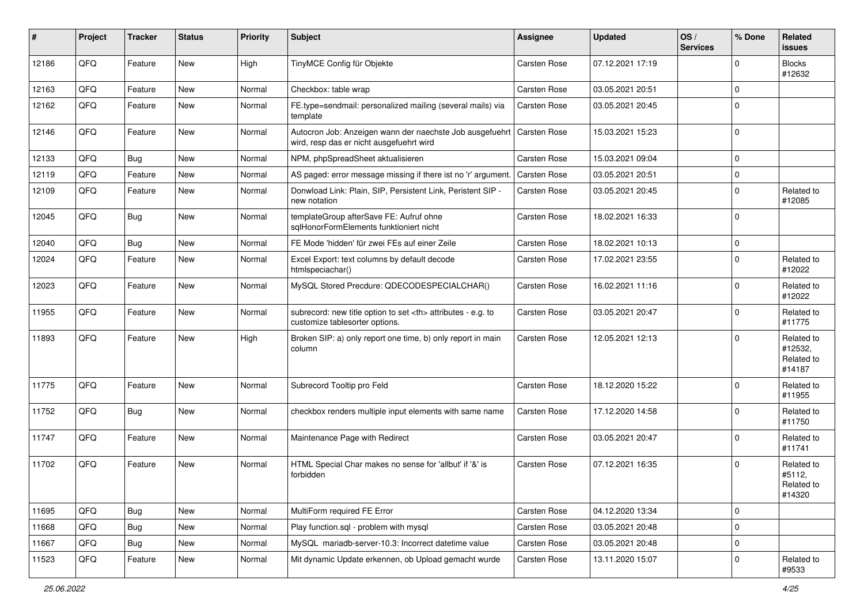| #     | Project | <b>Tracker</b> | <b>Status</b> | <b>Priority</b> | <b>Subject</b>                                                                                                      | Assignee                                               | <b>Updated</b>      | OS/<br><b>Services</b> | % Done      | Related<br>issues                             |                      |
|-------|---------|----------------|---------------|-----------------|---------------------------------------------------------------------------------------------------------------------|--------------------------------------------------------|---------------------|------------------------|-------------|-----------------------------------------------|----------------------|
| 12186 | QFQ     | Feature        | New           | High            | TinyMCE Config für Objekte                                                                                          | <b>Carsten Rose</b>                                    | 07.12.2021 17:19    |                        | $\Omega$    | <b>Blocks</b><br>#12632                       |                      |
| 12163 | QFQ     | Feature        | New           | Normal          | Checkbox: table wrap                                                                                                | Carsten Rose                                           | 03.05.2021 20:51    |                        | $\Omega$    |                                               |                      |
| 12162 | QFQ     | Feature        | New           | Normal          | FE.type=sendmail: personalized mailing (several mails) via<br>template                                              | Carsten Rose                                           | 03.05.2021 20:45    |                        | $\Omega$    |                                               |                      |
| 12146 | QFQ     | Feature        | New           | Normal          | Autocron Job: Anzeigen wann der naechste Job ausgefuehrt   Carsten Rose<br>wird, resp das er nicht ausgefuehrt wird |                                                        | 15.03.2021 15:23    |                        | $\Omega$    |                                               |                      |
| 12133 | QFQ     | Bug            | New           | Normal          | NPM, phpSpreadSheet aktualisieren                                                                                   | Carsten Rose                                           | 15.03.2021 09:04    |                        | $\Omega$    |                                               |                      |
| 12119 | QFQ     | Feature        | <b>New</b>    | Normal          | AS paged: error message missing if there ist no 'r' argument.                                                       | Carsten Rose                                           | 03.05.2021 20:51    |                        | $\Omega$    |                                               |                      |
| 12109 | QFQ     | Feature        | New           | Normal          | Donwload Link: Plain, SIP, Persistent Link, Peristent SIP -<br>new notation                                         | Carsten Rose                                           | 03.05.2021 20:45    |                        | $\Omega$    | Related to<br>#12085                          |                      |
| 12045 | QFQ     | <b>Bug</b>     | New           | Normal          | templateGroup afterSave FE: Aufruf ohne<br>sglHonorFormElements funktioniert nicht                                  | Carsten Rose                                           | 18.02.2021 16:33    |                        | $\Omega$    |                                               |                      |
| 12040 | QFQ     | Bug            | New           | Normal          | FE Mode 'hidden' für zwei FEs auf einer Zeile                                                                       | Carsten Rose                                           | 18.02.2021 10:13    |                        | $\Omega$    |                                               |                      |
| 12024 | QFQ     | Feature        | New           | Normal          | Excel Export: text columns by default decode<br>htmlspeciachar()                                                    | Carsten Rose                                           | 17.02.2021 23:55    |                        | $\Omega$    | Related to<br>#12022                          |                      |
| 12023 | QFQ     | Feature        | New           | Normal          | MySQL Stored Precdure: QDECODESPECIALCHAR()                                                                         | Carsten Rose                                           | 16.02.2021 11:16    |                        | $\Omega$    | Related to<br>#12022                          |                      |
| 11955 | QFQ     | Feature        | New           | Normal          | subrecord: new title option to set <th> attributes - e.g. to<br/>customize tablesorter options.</th>                | attributes - e.g. to<br>customize tablesorter options. | <b>Carsten Rose</b> | 03.05.2021 20:47       |             | $\Omega$                                      | Related to<br>#11775 |
| 11893 | QFQ     | Feature        | New           | High            | Broken SIP: a) only report one time, b) only report in main<br>column                                               | <b>Carsten Rose</b>                                    | 12.05.2021 12:13    |                        | $\Omega$    | Related to<br>#12532,<br>Related to<br>#14187 |                      |
| 11775 | QFQ     | Feature        | New           | Normal          | Subrecord Tooltip pro Feld                                                                                          | <b>Carsten Rose</b>                                    | 18.12.2020 15:22    |                        | $\Omega$    | Related to<br>#11955                          |                      |
| 11752 | QFQ     | <b>Bug</b>     | New           | Normal          | checkbox renders multiple input elements with same name                                                             | Carsten Rose                                           | 17.12.2020 14:58    |                        | $\Omega$    | Related to<br>#11750                          |                      |
| 11747 | QFQ     | Feature        | New           | Normal          | Maintenance Page with Redirect                                                                                      | Carsten Rose                                           | 03.05.2021 20:47    |                        | $\Omega$    | Related to<br>#11741                          |                      |
| 11702 | QFQ     | Feature        | New           | Normal          | HTML Special Char makes no sense for 'allbut' if '&' is<br>forbidden                                                | Carsten Rose                                           | 07.12.2021 16:35    |                        | $\Omega$    | Related to<br>#5112,<br>Related to<br>#14320  |                      |
| 11695 | QFQ     | <b>Bug</b>     | New           | Normal          | MultiForm required FE Error                                                                                         | Carsten Rose                                           | 04.12.2020 13:34    |                        | 0           |                                               |                      |
| 11668 | QFQ     | Bug            | New           | Normal          | Play function.sql - problem with mysql                                                                              | Carsten Rose                                           | 03.05.2021 20:48    |                        | $\mathbf 0$ |                                               |                      |
| 11667 | QFQ     | <b>Bug</b>     | New           | Normal          | MySQL mariadb-server-10.3: Incorrect datetime value                                                                 | Carsten Rose                                           | 03.05.2021 20:48    |                        | 0           |                                               |                      |
| 11523 | QFQ     | Feature        | New           | Normal          | Mit dynamic Update erkennen, ob Upload gemacht wurde                                                                | Carsten Rose                                           | 13.11.2020 15:07    |                        | 0           | Related to<br>#9533                           |                      |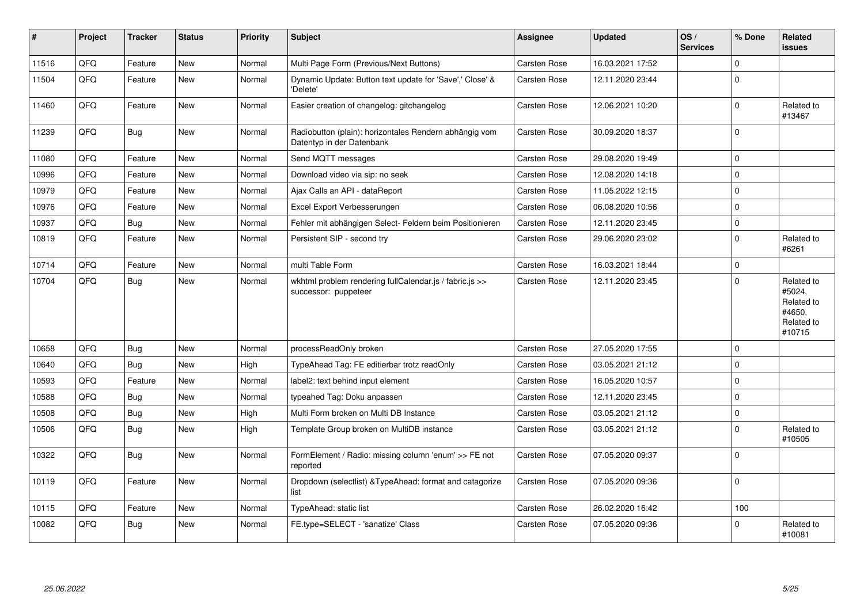| #     | Project | <b>Tracker</b> | <b>Status</b> | <b>Priority</b> | <b>Subject</b>                                                                      | <b>Assignee</b>     | <b>Updated</b>   | OS/<br><b>Services</b> | % Done      | Related<br><b>issues</b>                                             |
|-------|---------|----------------|---------------|-----------------|-------------------------------------------------------------------------------------|---------------------|------------------|------------------------|-------------|----------------------------------------------------------------------|
| 11516 | QFQ     | Feature        | New           | Normal          | Multi Page Form (Previous/Next Buttons)                                             | Carsten Rose        | 16.03.2021 17:52 |                        | $\mathbf 0$ |                                                                      |
| 11504 | QFQ     | Feature        | New           | Normal          | Dynamic Update: Button text update for 'Save',' Close' &<br>'Delete'                | Carsten Rose        | 12.11.2020 23:44 |                        | $\Omega$    |                                                                      |
| 11460 | QFQ     | Feature        | New           | Normal          | Easier creation of changelog: gitchangelog                                          | Carsten Rose        | 12.06.2021 10:20 |                        | $\mathbf 0$ | Related to<br>#13467                                                 |
| 11239 | QFQ     | Bug            | New           | Normal          | Radiobutton (plain): horizontales Rendern abhängig vom<br>Datentyp in der Datenbank | Carsten Rose        | 30.09.2020 18:37 |                        | $\mathbf 0$ |                                                                      |
| 11080 | QFQ     | Feature        | <b>New</b>    | Normal          | Send MQTT messages                                                                  | Carsten Rose        | 29.08.2020 19:49 |                        | $\mathbf 0$ |                                                                      |
| 10996 | QFQ     | Feature        | New           | Normal          | Download video via sip: no seek                                                     | Carsten Rose        | 12.08.2020 14:18 |                        | $\mathbf 0$ |                                                                      |
| 10979 | QFQ     | Feature        | New           | Normal          | Ajax Calls an API - dataReport                                                      | Carsten Rose        | 11.05.2022 12:15 |                        | $\mathbf 0$ |                                                                      |
| 10976 | QFQ     | Feature        | New           | Normal          | Excel Export Verbesserungen                                                         | <b>Carsten Rose</b> | 06.08.2020 10:56 |                        | $\Omega$    |                                                                      |
| 10937 | QFQ     | Bug            | New           | Normal          | Fehler mit abhängigen Select- Feldern beim Positionieren                            | <b>Carsten Rose</b> | 12.11.2020 23:45 |                        | $\mathbf 0$ |                                                                      |
| 10819 | QFQ     | Feature        | <b>New</b>    | Normal          | Persistent SIP - second try                                                         | Carsten Rose        | 29.06.2020 23:02 |                        | $\mathbf 0$ | Related to<br>#6261                                                  |
| 10714 | QFQ     | Feature        | <b>New</b>    | Normal          | multi Table Form                                                                    | Carsten Rose        | 16.03.2021 18:44 |                        | $\pmb{0}$   |                                                                      |
| 10704 | QFQ     | Bug            | New           | Normal          | wkhtml problem rendering fullCalendar.js / fabric.js >><br>successor: puppeteer     | <b>Carsten Rose</b> | 12.11.2020 23:45 |                        | $\Omega$    | Related to<br>#5024,<br>Related to<br>#4650,<br>Related to<br>#10715 |
| 10658 | QFQ     | <b>Bug</b>     | New           | Normal          | processReadOnly broken                                                              | Carsten Rose        | 27.05.2020 17:55 |                        | $\pmb{0}$   |                                                                      |
| 10640 | QFQ     | Bug            | New           | High            | TypeAhead Tag: FE editierbar trotz readOnly                                         | Carsten Rose        | 03.05.2021 21:12 |                        | $\mathbf 0$ |                                                                      |
| 10593 | QFQ     | Feature        | New           | Normal          | label2: text behind input element                                                   | Carsten Rose        | 16.05.2020 10:57 |                        | $\mathbf 0$ |                                                                      |
| 10588 | QFQ     | <b>Bug</b>     | New           | Normal          | typeahed Tag: Doku anpassen                                                         | Carsten Rose        | 12.11.2020 23:45 |                        | $\mathbf 0$ |                                                                      |
| 10508 | QFQ     | Bug            | <b>New</b>    | High            | Multi Form broken on Multi DB Instance                                              | Carsten Rose        | 03.05.2021 21:12 |                        | $\mathbf 0$ |                                                                      |
| 10506 | QFQ     | Bug            | <b>New</b>    | High            | Template Group broken on MultiDB instance                                           | Carsten Rose        | 03.05.2021 21:12 |                        | $\mathbf 0$ | Related to<br>#10505                                                 |
| 10322 | QFQ     | Bug            | New           | Normal          | FormElement / Radio: missing column 'enum' >> FE not<br>reported                    | <b>Carsten Rose</b> | 07.05.2020 09:37 |                        | $\mathbf 0$ |                                                                      |
| 10119 | QFQ     | Feature        | <b>New</b>    | Normal          | Dropdown (selectlist) & TypeAhead: format and catagorize<br>list                    | Carsten Rose        | 07.05.2020 09:36 |                        | $\mathbf 0$ |                                                                      |
| 10115 | QFQ     | Feature        | New           | Normal          | TypeAhead: static list                                                              | Carsten Rose        | 26.02.2020 16:42 |                        | 100         |                                                                      |
| 10082 | QFQ     | Bug            | New           | Normal          | FE.type=SELECT - 'sanatize' Class                                                   | <b>Carsten Rose</b> | 07.05.2020 09:36 |                        | $\mathbf 0$ | Related to<br>#10081                                                 |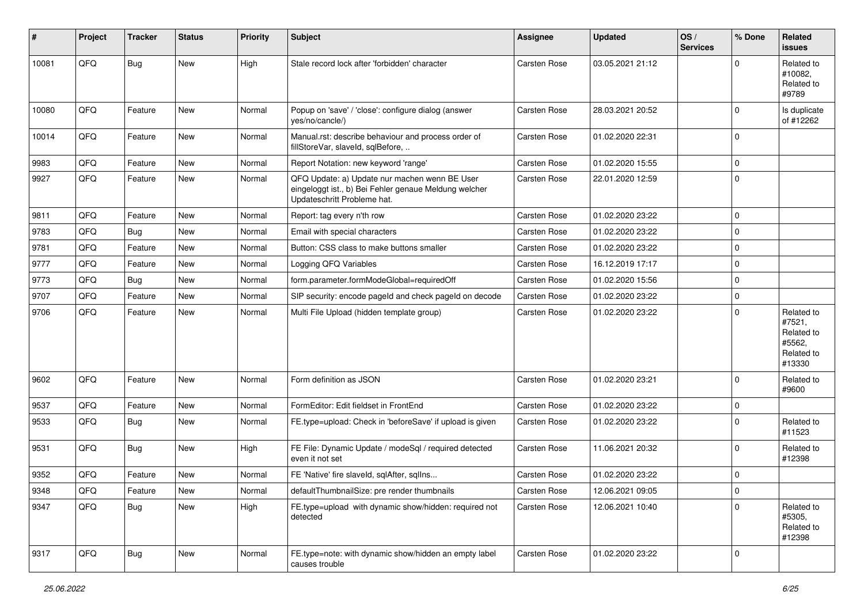| #     | Project | <b>Tracker</b> | <b>Status</b> | <b>Priority</b> | <b>Subject</b>                                                                                                                        | <b>Assignee</b>     | <b>Updated</b>   | OS/<br><b>Services</b> | % Done      | <b>Related</b><br>issues                                             |
|-------|---------|----------------|---------------|-----------------|---------------------------------------------------------------------------------------------------------------------------------------|---------------------|------------------|------------------------|-------------|----------------------------------------------------------------------|
| 10081 | QFQ     | <b>Bug</b>     | New           | High            | Stale record lock after 'forbidden' character                                                                                         | <b>Carsten Rose</b> | 03.05.2021 21:12 |                        | $\Omega$    | Related to<br>#10082.<br>Related to<br>#9789                         |
| 10080 | QFQ     | Feature        | New           | Normal          | Popup on 'save' / 'close': configure dialog (answer<br>yes/no/cancle/)                                                                | <b>Carsten Rose</b> | 28.03.2021 20:52 |                        | $\mathbf 0$ | Is duplicate<br>of #12262                                            |
| 10014 | QFQ     | Feature        | New           | Normal          | Manual.rst: describe behaviour and process order of<br>fillStoreVar, slaveId, sqlBefore,                                              | <b>Carsten Rose</b> | 01.02.2020 22:31 |                        | $\mathbf 0$ |                                                                      |
| 9983  | QFQ     | Feature        | New           | Normal          | Report Notation: new keyword 'range'                                                                                                  | <b>Carsten Rose</b> | 01.02.2020 15:55 |                        | $\pmb{0}$   |                                                                      |
| 9927  | QFQ     | Feature        | New           | Normal          | QFQ Update: a) Update nur machen wenn BE User<br>eingeloggt ist., b) Bei Fehler genaue Meldung welcher<br>Updateschritt Probleme hat. | <b>Carsten Rose</b> | 22.01.2020 12:59 |                        | $\mathbf 0$ |                                                                      |
| 9811  | QFQ     | Feature        | New           | Normal          | Report: tag every n'th row                                                                                                            | Carsten Rose        | 01.02.2020 23:22 |                        | $\mathbf 0$ |                                                                      |
| 9783  | QFQ     | <b>Bug</b>     | New           | Normal          | Email with special characters                                                                                                         | <b>Carsten Rose</b> | 01.02.2020 23:22 |                        | $\pmb{0}$   |                                                                      |
| 9781  | QFQ     | Feature        | New           | Normal          | Button: CSS class to make buttons smaller                                                                                             | <b>Carsten Rose</b> | 01.02.2020 23:22 |                        | $\mathbf 0$ |                                                                      |
| 9777  | QFQ     | Feature        | New           | Normal          | Logging QFQ Variables                                                                                                                 | <b>Carsten Rose</b> | 16.12.2019 17:17 |                        | $\pmb{0}$   |                                                                      |
| 9773  | QFQ     | Bug            | New           | Normal          | form.parameter.formModeGlobal=requiredOff                                                                                             | <b>Carsten Rose</b> | 01.02.2020 15:56 |                        | $\pmb{0}$   |                                                                      |
| 9707  | QFQ     | Feature        | New           | Normal          | SIP security: encode pageld and check pageld on decode                                                                                | <b>Carsten Rose</b> | 01.02.2020 23:22 |                        | $\pmb{0}$   |                                                                      |
| 9706  | QFQ     | Feature        | New           | Normal          | Multi File Upload (hidden template group)                                                                                             | Carsten Rose        | 01.02.2020 23:22 |                        | $\mathbf 0$ | Related to<br>#7521,<br>Related to<br>#5562,<br>Related to<br>#13330 |
| 9602  | QFQ     | Feature        | New           | Normal          | Form definition as JSON                                                                                                               | <b>Carsten Rose</b> | 01.02.2020 23:21 |                        | $\mathbf 0$ | Related to<br>#9600                                                  |
| 9537  | QFQ     | Feature        | New           | Normal          | FormEditor: Edit fieldset in FrontEnd                                                                                                 | Carsten Rose        | 01.02.2020 23:22 |                        | $\mathbf 0$ |                                                                      |
| 9533  | QFQ     | Bug            | New           | Normal          | FE.type=upload: Check in 'beforeSave' if upload is given                                                                              | <b>Carsten Rose</b> | 01.02.2020 23:22 |                        | $\mathbf 0$ | Related to<br>#11523                                                 |
| 9531  | QFQ     | <b>Bug</b>     | New           | High            | FE File: Dynamic Update / modeSql / required detected<br>even it not set                                                              | <b>Carsten Rose</b> | 11.06.2021 20:32 |                        | $\mathbf 0$ | Related to<br>#12398                                                 |
| 9352  | QFQ     | Feature        | New           | Normal          | FE 'Native' fire slaveld, sqlAfter, sqlIns                                                                                            | Carsten Rose        | 01.02.2020 23:22 |                        | $\mathbf 0$ |                                                                      |
| 9348  | QFQ     | Feature        | New           | Normal          | defaultThumbnailSize: pre render thumbnails                                                                                           | Carsten Rose        | 12.06.2021 09:05 |                        | 0           |                                                                      |
| 9347  | QFQ     | Bug            | New           | High            | FE.type=upload with dynamic show/hidden: required not<br>detected                                                                     | Carsten Rose        | 12.06.2021 10:40 |                        | $\Omega$    | Related to<br>#5305,<br>Related to<br>#12398                         |
| 9317  | QFQ     | <b>Bug</b>     | New           | Normal          | FE.type=note: with dynamic show/hidden an empty label<br>causes trouble                                                               | Carsten Rose        | 01.02.2020 23:22 |                        | 0           |                                                                      |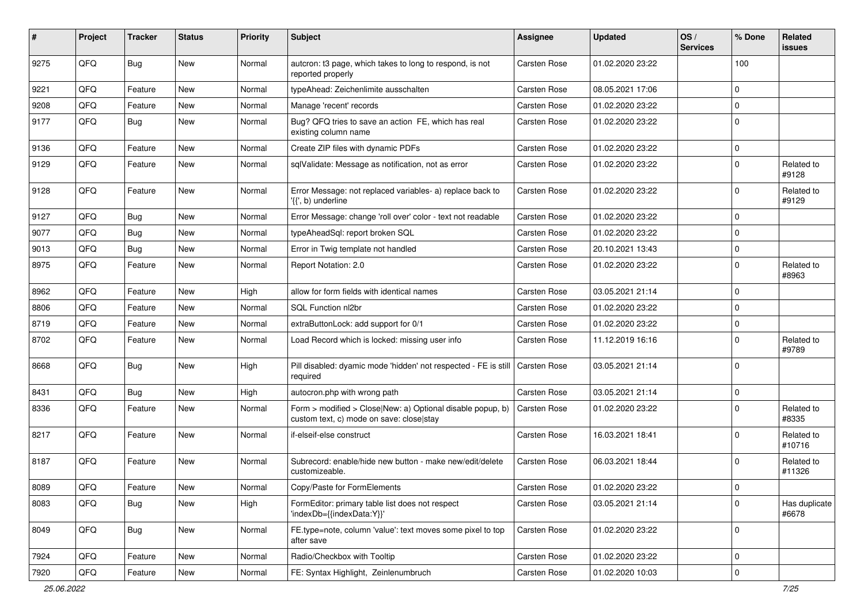| #    | Project | <b>Tracker</b> | <b>Status</b> | <b>Priority</b> | <b>Subject</b>                                                                                         | <b>Assignee</b>     | <b>Updated</b>   | OS/<br><b>Services</b> | % Done      | Related<br>issues      |
|------|---------|----------------|---------------|-----------------|--------------------------------------------------------------------------------------------------------|---------------------|------------------|------------------------|-------------|------------------------|
| 9275 | QFQ     | <b>Bug</b>     | New           | Normal          | autcron: t3 page, which takes to long to respond, is not<br>reported properly                          | <b>Carsten Rose</b> | 01.02.2020 23:22 |                        | 100         |                        |
| 9221 | QFQ     | Feature        | <b>New</b>    | Normal          | typeAhead: Zeichenlimite ausschalten                                                                   | Carsten Rose        | 08.05.2021 17:06 |                        | $\mathbf 0$ |                        |
| 9208 | QFQ     | Feature        | <b>New</b>    | Normal          | Manage 'recent' records                                                                                | <b>Carsten Rose</b> | 01.02.2020 23:22 |                        | $\mathbf 0$ |                        |
| 9177 | QFQ     | Bug            | New           | Normal          | Bug? QFQ tries to save an action FE, which has real<br>existing column name                            | Carsten Rose        | 01.02.2020 23:22 |                        | $\Omega$    |                        |
| 9136 | QFQ     | Feature        | <b>New</b>    | Normal          | Create ZIP files with dynamic PDFs                                                                     | Carsten Rose        | 01.02.2020 23:22 |                        | $\mathbf 0$ |                        |
| 9129 | QFQ     | Feature        | New           | Normal          | sqlValidate: Message as notification, not as error                                                     | Carsten Rose        | 01.02.2020 23:22 |                        | $\Omega$    | Related to<br>#9128    |
| 9128 | QFQ     | Feature        | New           | Normal          | Error Message: not replaced variables- a) replace back to<br>'{{', b) underline                        | <b>Carsten Rose</b> | 01.02.2020 23:22 |                        | $\mathbf 0$ | Related to<br>#9129    |
| 9127 | QFQ     | Bug            | New           | Normal          | Error Message: change 'roll over' color - text not readable                                            | <b>Carsten Rose</b> | 01.02.2020 23:22 |                        | $\mathbf 0$ |                        |
| 9077 | QFQ     | <b>Bug</b>     | New           | Normal          | typeAheadSql: report broken SQL                                                                        | Carsten Rose        | 01.02.2020 23:22 |                        | $\mathbf 0$ |                        |
| 9013 | QFQ     | <b>Bug</b>     | <b>New</b>    | Normal          | Error in Twig template not handled                                                                     | Carsten Rose        | 20.10.2021 13:43 |                        | 0           |                        |
| 8975 | QFQ     | Feature        | <b>New</b>    | Normal          | Report Notation: 2.0                                                                                   | Carsten Rose        | 01.02.2020 23:22 |                        | $\mathbf 0$ | Related to<br>#8963    |
| 8962 | QFQ     | Feature        | New           | High            | allow for form fields with identical names                                                             | <b>Carsten Rose</b> | 03.05.2021 21:14 |                        | $\mathbf 0$ |                        |
| 8806 | QFQ     | Feature        | New           | Normal          | SQL Function nl2br                                                                                     | Carsten Rose        | 01.02.2020 23:22 |                        | $\mathbf 0$ |                        |
| 8719 | QFQ     | Feature        | New           | Normal          | extraButtonLock: add support for 0/1                                                                   | Carsten Rose        | 01.02.2020 23:22 |                        | $\mathbf 0$ |                        |
| 8702 | QFQ     | Feature        | <b>New</b>    | Normal          | Load Record which is locked: missing user info                                                         | Carsten Rose        | 11.12.2019 16:16 |                        | $\Omega$    | Related to<br>#9789    |
| 8668 | QFQ     | Bug            | New           | High            | Pill disabled: dyamic mode 'hidden' not respected - FE is still   Carsten Rose<br>reauired             |                     | 03.05.2021 21:14 |                        | $\mathbf 0$ |                        |
| 8431 | QFQ     | <b>Bug</b>     | New           | High            | autocron.php with wrong path                                                                           | Carsten Rose        | 03.05.2021 21:14 |                        | $\mathbf 0$ |                        |
| 8336 | QFQ     | Feature        | New           | Normal          | Form > modified > Close New: a) Optional disable popup, b)<br>custom text, c) mode on save: close stay | <b>Carsten Rose</b> | 01.02.2020 23:22 |                        | $\Omega$    | Related to<br>#8335    |
| 8217 | QFQ     | Feature        | New           | Normal          | if-elseif-else construct                                                                               | Carsten Rose        | 16.03.2021 18:41 |                        | $\Omega$    | Related to<br>#10716   |
| 8187 | QFQ     | Feature        | New           | Normal          | Subrecord: enable/hide new button - make new/edit/delete<br>customizeable.                             | <b>Carsten Rose</b> | 06.03.2021 18:44 |                        | $\Omega$    | Related to<br>#11326   |
| 8089 | QFQ     | Feature        | New           | Normal          | Copy/Paste for FormElements                                                                            | Carsten Rose        | 01.02.2020 23:22 |                        | 0           |                        |
| 8083 | QFQ     | Bug            | New           | High            | FormEditor: primary table list does not respect<br>'indexDb={{indexData:Y}}'                           | Carsten Rose        | 03.05.2021 21:14 |                        | $\mathbf 0$ | Has duplicate<br>#6678 |
| 8049 | QFQ     | Bug            | New           | Normal          | FE.type=note, column 'value': text moves some pixel to top<br>after save                               | Carsten Rose        | 01.02.2020 23:22 |                        | $\mathbf 0$ |                        |
| 7924 | QFQ     | Feature        | New           | Normal          | Radio/Checkbox with Tooltip                                                                            | Carsten Rose        | 01.02.2020 23:22 |                        | $\mathbf 0$ |                        |
| 7920 | QFQ     | Feature        | New           | Normal          | FE: Syntax Highlight, Zeinlenumbruch                                                                   | Carsten Rose        | 01.02.2020 10:03 |                        | $\mathbf 0$ |                        |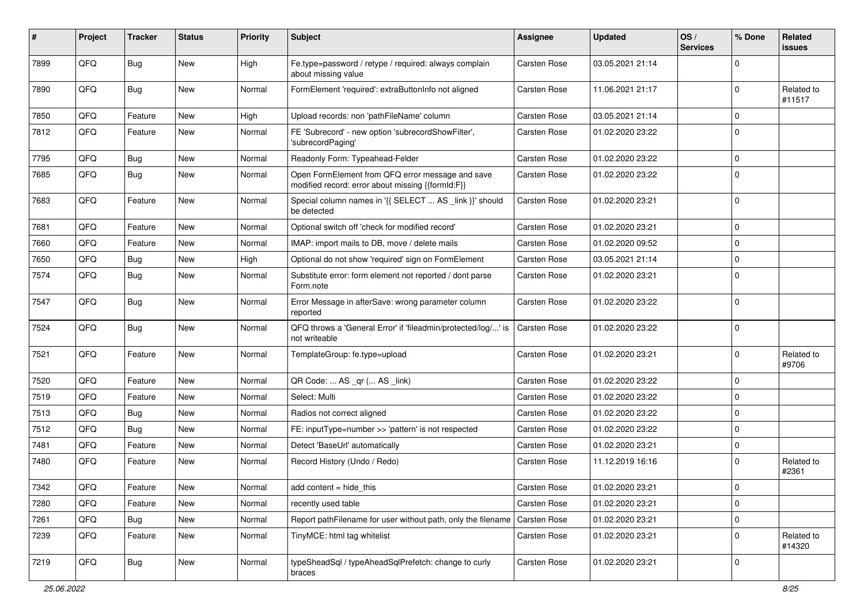| #    | Project | <b>Tracker</b> | <b>Status</b> | <b>Priority</b> | Subject                                                                                               | <b>Assignee</b> | <b>Updated</b>   | OS/<br><b>Services</b> | % Done      | Related<br>issues    |
|------|---------|----------------|---------------|-----------------|-------------------------------------------------------------------------------------------------------|-----------------|------------------|------------------------|-------------|----------------------|
| 7899 | QFQ     | <b>Bug</b>     | New           | High            | Fe.type=password / retype / required: always complain<br>about missing value                          | Carsten Rose    | 03.05.2021 21:14 |                        | $\Omega$    |                      |
| 7890 | QFQ     | Bug            | New           | Normal          | FormElement 'required': extraButtonInfo not aligned                                                   | Carsten Rose    | 11.06.2021 21:17 |                        | $\Omega$    | Related to<br>#11517 |
| 7850 | QFQ     | Feature        | New           | High            | Upload records: non 'pathFileName' column                                                             | Carsten Rose    | 03.05.2021 21:14 |                        | $\Omega$    |                      |
| 7812 | QFQ     | Feature        | New           | Normal          | FE 'Subrecord' - new option 'subrecordShowFilter',<br>'subrecordPaging'                               | Carsten Rose    | 01.02.2020 23:22 |                        | $\mathbf 0$ |                      |
| 7795 | QFQ     | Bug            | New           | Normal          | Readonly Form: Typeahead-Felder                                                                       | Carsten Rose    | 01.02.2020 23:22 |                        | $\Omega$    |                      |
| 7685 | QFQ     | <b>Bug</b>     | New           | Normal          | Open FormElement from QFQ error message and save<br>modified record: error about missing {{formId:F}} | Carsten Rose    | 01.02.2020 23:22 |                        | $\mathbf 0$ |                      |
| 7683 | QFQ     | Feature        | New           | Normal          | Special column names in '{{ SELECT  AS _link }}' should<br>be detected                                | Carsten Rose    | 01.02.2020 23:21 |                        | $\Omega$    |                      |
| 7681 | QFQ     | Feature        | New           | Normal          | Optional switch off 'check for modified record'                                                       | Carsten Rose    | 01.02.2020 23:21 |                        | $\mathbf 0$ |                      |
| 7660 | QFQ     | Feature        | New           | Normal          | IMAP: import mails to DB, move / delete mails                                                         | Carsten Rose    | 01.02.2020 09:52 |                        | $\Omega$    |                      |
| 7650 | QFQ     | <b>Bug</b>     | New           | High            | Optional do not show 'required' sign on FormElement                                                   | Carsten Rose    | 03.05.2021 21:14 |                        | $\mathbf 0$ |                      |
| 7574 | QFQ     | <b>Bug</b>     | New           | Normal          | Substitute error: form element not reported / dont parse<br>Form.note                                 | Carsten Rose    | 01.02.2020 23:21 |                        | $\Omega$    |                      |
| 7547 | QFQ     | <b>Bug</b>     | New           | Normal          | Error Message in afterSave: wrong parameter column<br>reported                                        | Carsten Rose    | 01.02.2020 23:22 |                        | $\mathbf 0$ |                      |
| 7524 | QFQ     | Bug            | New           | Normal          | QFQ throws a 'General Error' if 'fileadmin/protected/log/' is<br>not writeable                        | Carsten Rose    | 01.02.2020 23:22 |                        | $\Omega$    |                      |
| 7521 | QFQ     | Feature        | New           | Normal          | TemplateGroup: fe.type=upload                                                                         | Carsten Rose    | 01.02.2020 23:21 |                        | $\Omega$    | Related to<br>#9706  |
| 7520 | QFQ     | Feature        | New           | Normal          | QR Code:  AS _qr ( AS _link)                                                                          | Carsten Rose    | 01.02.2020 23:22 |                        | $\Omega$    |                      |
| 7519 | QFQ     | Feature        | New           | Normal          | Select: Multi                                                                                         | Carsten Rose    | 01.02.2020 23:22 |                        | $\Omega$    |                      |
| 7513 | QFQ     | <b>Bug</b>     | New           | Normal          | Radios not correct aligned                                                                            | Carsten Rose    | 01.02.2020 23:22 |                        | $\mathbf 0$ |                      |
| 7512 | QFQ     | Bug            | New           | Normal          | FE: inputType=number >> 'pattern' is not respected                                                    | Carsten Rose    | 01.02.2020 23:22 |                        | $\Omega$    |                      |
| 7481 | QFQ     | Feature        | New           | Normal          | Detect 'BaseUrl' automatically                                                                        | Carsten Rose    | 01.02.2020 23:21 |                        | $\mathbf 0$ |                      |
| 7480 | QFQ     | Feature        | New           | Normal          | Record History (Undo / Redo)                                                                          | Carsten Rose    | 11.12.2019 16:16 |                        | 0           | Related to<br>#2361  |
| 7342 | QFQ     | Feature        | New           | Normal          | add content = hide_this                                                                               | Carsten Rose    | 01.02.2020 23:21 |                        | 0           |                      |
| 7280 | QFQ     | Feature        | New           | Normal          | recently used table                                                                                   | Carsten Rose    | 01.02.2020 23:21 |                        | $\mathbf 0$ |                      |
| 7261 | QFQ     | Bug            | New           | Normal          | Report pathFilename for user without path, only the filename Carsten Rose                             |                 | 01.02.2020 23:21 |                        | $\mathbf 0$ |                      |
| 7239 | QFQ     | Feature        | New           | Normal          | TinyMCE: html tag whitelist                                                                           | Carsten Rose    | 01.02.2020 23:21 |                        | $\mathbf 0$ | Related to<br>#14320 |
| 7219 | QFQ     | Bug            | New           | Normal          | typeSheadSql / typeAheadSqlPrefetch: change to curly<br>braces                                        | Carsten Rose    | 01.02.2020 23:21 |                        | 0           |                      |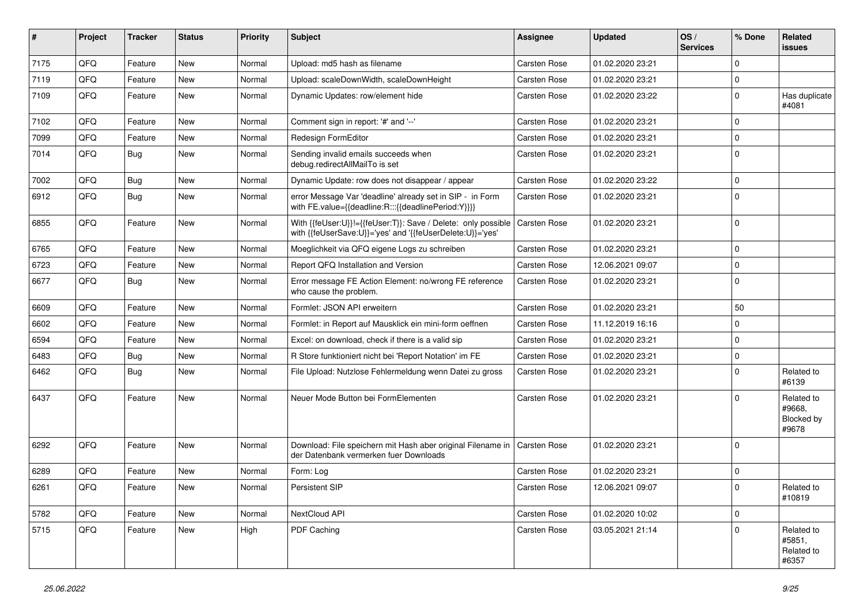| #    | Project | <b>Tracker</b> | <b>Status</b> | <b>Priority</b> | <b>Subject</b>                                                                                                             | <b>Assignee</b>     | <b>Updated</b>   | OS/<br><b>Services</b> | % Done      | Related<br>issues                           |
|------|---------|----------------|---------------|-----------------|----------------------------------------------------------------------------------------------------------------------------|---------------------|------------------|------------------------|-------------|---------------------------------------------|
| 7175 | QFQ     | Feature        | <b>New</b>    | Normal          | Upload: md5 hash as filename                                                                                               | <b>Carsten Rose</b> | 01.02.2020 23:21 |                        | $\Omega$    |                                             |
| 7119 | QFQ     | Feature        | New           | Normal          | Upload: scaleDownWidth, scaleDownHeight                                                                                    | Carsten Rose        | 01.02.2020 23:21 |                        | $\mathbf 0$ |                                             |
| 7109 | QFQ     | Feature        | New           | Normal          | Dynamic Updates: row/element hide                                                                                          | Carsten Rose        | 01.02.2020 23:22 |                        | $\mathbf 0$ | Has duplicate<br>#4081                      |
| 7102 | QFQ     | Feature        | New           | Normal          | Comment sign in report: '#' and '--'                                                                                       | Carsten Rose        | 01.02.2020 23:21 |                        | $\mathbf 0$ |                                             |
| 7099 | QFQ     | Feature        | <b>New</b>    | Normal          | Redesign FormEditor                                                                                                        | Carsten Rose        | 01.02.2020 23:21 |                        | $\mathbf 0$ |                                             |
| 7014 | QFQ     | <b>Bug</b>     | New           | Normal          | Sending invalid emails succeeds when<br>debug.redirectAllMailTo is set                                                     | Carsten Rose        | 01.02.2020 23:21 |                        | $\mathbf 0$ |                                             |
| 7002 | QFQ     | <b>Bug</b>     | <b>New</b>    | Normal          | Dynamic Update: row does not disappear / appear                                                                            | Carsten Rose        | 01.02.2020 23:22 |                        | $\mathbf 0$ |                                             |
| 6912 | QFQ     | Bug            | New           | Normal          | error Message Var 'deadline' already set in SIP - in Form<br>with FE.value={{deadline:R:::{{deadlinePeriod:Y}}}}           | Carsten Rose        | 01.02.2020 23:21 |                        | $\Omega$    |                                             |
| 6855 | QFQ     | Feature        | <b>New</b>    | Normal          | With {{feUser:U}}!={{feUser:T}}: Save / Delete: only possible<br>with {{feUserSave:U}}='yes' and '{{feUserDelete:U}}='yes' | Carsten Rose        | 01.02.2020 23:21 |                        | $\mathbf 0$ |                                             |
| 6765 | QFQ     | Feature        | <b>New</b>    | Normal          | Moeglichkeit via QFQ eigene Logs zu schreiben                                                                              | Carsten Rose        | 01.02.2020 23:21 |                        | $\mathbf 0$ |                                             |
| 6723 | QFQ     | Feature        | New           | Normal          | Report QFQ Installation and Version                                                                                        | Carsten Rose        | 12.06.2021 09:07 |                        | $\Omega$    |                                             |
| 6677 | QFQ     | Bug            | New           | Normal          | Error message FE Action Element: no/wrong FE reference<br>who cause the problem.                                           | Carsten Rose        | 01.02.2020 23:21 |                        | $\Omega$    |                                             |
| 6609 | QFQ     | Feature        | New           | Normal          | Formlet: JSON API erweitern                                                                                                | Carsten Rose        | 01.02.2020 23:21 |                        | 50          |                                             |
| 6602 | QFQ     | Feature        | New           | Normal          | Formlet: in Report auf Mausklick ein mini-form oeffnen                                                                     | Carsten Rose        | 11.12.2019 16:16 |                        | $\mathbf 0$ |                                             |
| 6594 | QFQ     | Feature        | <b>New</b>    | Normal          | Excel: on download, check if there is a valid sip                                                                          | Carsten Rose        | 01.02.2020 23:21 |                        | $\mathbf 0$ |                                             |
| 6483 | QFQ     | <b>Bug</b>     | New           | Normal          | R Store funktioniert nicht bei 'Report Notation' im FE                                                                     | Carsten Rose        | 01.02.2020 23:21 |                        | $\mathbf 0$ |                                             |
| 6462 | QFQ     | Bug            | <b>New</b>    | Normal          | File Upload: Nutzlose Fehlermeldung wenn Datei zu gross                                                                    | Carsten Rose        | 01.02.2020 23:21 |                        | $\mathbf 0$ | Related to<br>#6139                         |
| 6437 | QFQ     | Feature        | New           | Normal          | Neuer Mode Button bei FormElementen                                                                                        | Carsten Rose        | 01.02.2020 23:21 |                        | $\Omega$    | Related to<br>#9668.<br>Blocked by<br>#9678 |
| 6292 | QFQ     | Feature        | New           | Normal          | Download: File speichern mit Hash aber original Filename in   Carsten Rose<br>der Datenbank vermerken fuer Downloads       |                     | 01.02.2020 23:21 |                        | $\mathbf 0$ |                                             |
| 6289 | QFQ     | Feature        | New           | Normal          | Form: Log                                                                                                                  | Carsten Rose        | 01.02.2020 23:21 |                        | $\mathbf 0$ |                                             |
| 6261 | QFQ     | Feature        | New           | Normal          | Persistent SIP                                                                                                             | Carsten Rose        | 12.06.2021 09:07 |                        | $\Omega$    | Related to<br>#10819                        |
| 5782 | QFQ     | Feature        | New           | Normal          | NextCloud API                                                                                                              | Carsten Rose        | 01.02.2020 10:02 |                        | $\mathbf 0$ |                                             |
| 5715 | QFQ     | Feature        | New           | High            | PDF Caching                                                                                                                | Carsten Rose        | 03.05.2021 21:14 |                        | $\mathbf 0$ | Related to<br>#5851,<br>Related to<br>#6357 |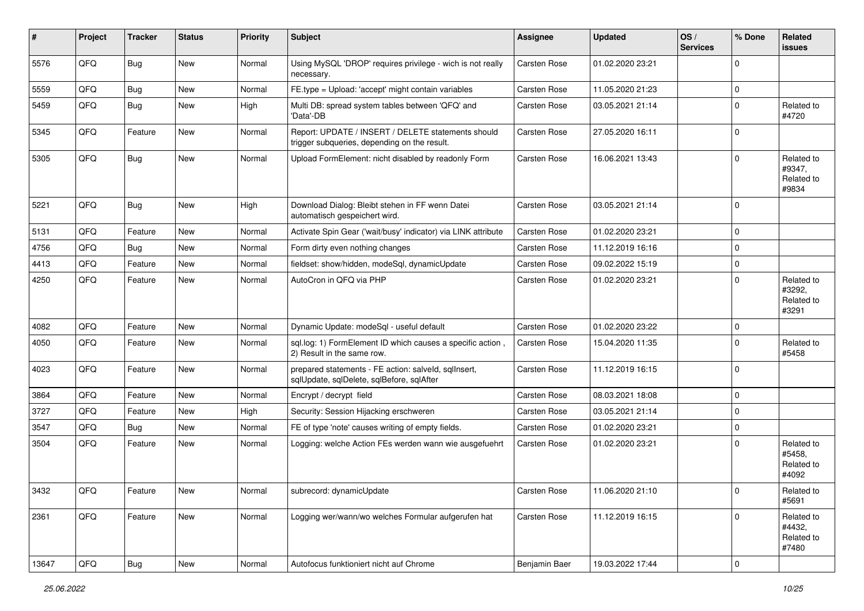| #     | Project | <b>Tracker</b> | <b>Status</b> | <b>Priority</b> | <b>Subject</b>                                                                                     | <b>Assignee</b>     | <b>Updated</b>   | OS/<br><b>Services</b> | % Done              | <b>Related</b><br>issues                    |
|-------|---------|----------------|---------------|-----------------|----------------------------------------------------------------------------------------------------|---------------------|------------------|------------------------|---------------------|---------------------------------------------|
| 5576  | QFQ     | Bug            | <b>New</b>    | Normal          | Using MySQL 'DROP' requires privilege - wich is not really<br>necessary.                           | <b>Carsten Rose</b> | 01.02.2020 23:21 |                        | $\Omega$            |                                             |
| 5559  | QFQ     | Bug            | <b>New</b>    | Normal          | FE.type = Upload: 'accept' might contain variables                                                 | Carsten Rose        | 11.05.2020 21:23 |                        | $\mathbf 0$         |                                             |
| 5459  | QFQ     | <b>Bug</b>     | New           | High            | Multi DB: spread system tables between 'QFQ' and<br>'Data'-DB                                      | Carsten Rose        | 03.05.2021 21:14 |                        | $\mathbf 0$         | Related to<br>#4720                         |
| 5345  | QFQ     | Feature        | New           | Normal          | Report: UPDATE / INSERT / DELETE statements should<br>trigger subqueries, depending on the result. | Carsten Rose        | 27.05.2020 16:11 |                        | $\mathbf 0$         |                                             |
| 5305  | QFQ     | <b>Bug</b>     | New           | Normal          | Upload FormElement: nicht disabled by readonly Form                                                | Carsten Rose        | 16.06.2021 13:43 |                        | $\Omega$            | Related to<br>#9347,<br>Related to<br>#9834 |
| 5221  | QFQ     | <b>Bug</b>     | <b>New</b>    | High            | Download Dialog: Bleibt stehen in FF wenn Datei<br>automatisch gespeichert wird.                   | Carsten Rose        | 03.05.2021 21:14 |                        | $\Omega$            |                                             |
| 5131  | QFQ     | Feature        | New           | Normal          | Activate Spin Gear ('wait/busy' indicator) via LINK attribute                                      | Carsten Rose        | 01.02.2020 23:21 |                        | $\Omega$            |                                             |
| 4756  | QFQ     | <b>Bug</b>     | <b>New</b>    | Normal          | Form dirty even nothing changes                                                                    | <b>Carsten Rose</b> | 11.12.2019 16:16 |                        | $\mathbf 0$         |                                             |
| 4413  | QFQ     | Feature        | New           | Normal          | fieldset: show/hidden, modeSql, dynamicUpdate                                                      | Carsten Rose        | 09.02.2022 15:19 |                        | $\mathbf 0$         |                                             |
| 4250  | QFQ     | Feature        | New           | Normal          | AutoCron in QFQ via PHP                                                                            | Carsten Rose        | 01.02.2020 23:21 |                        | $\Omega$            | Related to<br>#3292.<br>Related to<br>#3291 |
| 4082  | QFQ     | Feature        | New           | Normal          | Dynamic Update: modeSql - useful default                                                           | Carsten Rose        | 01.02.2020 23:22 |                        | $\mathbf 0$         |                                             |
| 4050  | QFQ     | Feature        | New           | Normal          | sql.log: 1) FormElement ID which causes a specific action<br>2) Result in the same row.            | Carsten Rose        | 15.04.2020 11:35 |                        | $\Omega$            | Related to<br>#5458                         |
| 4023  | QFQ     | Feature        | New           | Normal          | prepared statements - FE action: salveld, sqlInsert,<br>sqlUpdate, sqlDelete, sqlBefore, sqlAfter  | Carsten Rose        | 11.12.2019 16:15 |                        | $\mathbf 0$         |                                             |
| 3864  | QFQ     | Feature        | <b>New</b>    | Normal          | Encrypt / decrypt field                                                                            | Carsten Rose        | 08.03.2021 18:08 |                        | $\mathbf 0$         |                                             |
| 3727  | QFQ     | Feature        | New           | High            | Security: Session Hijacking erschweren                                                             | Carsten Rose        | 03.05.2021 21:14 |                        | $\mathbf 0$         |                                             |
| 3547  | QFQ     | Bug            | New           | Normal          | FE of type 'note' causes writing of empty fields.                                                  | Carsten Rose        | 01.02.2020 23:21 |                        | $\mathbf 0$         |                                             |
| 3504  | QFQ     | Feature        | New           | Normal          | Logging: welche Action FEs werden wann wie ausgefuehrt                                             | Carsten Rose        | 01.02.2020 23:21 |                        | $\mathbf 0$         | Related to<br>#5458,<br>Related to<br>#4092 |
| 3432  | QFQ     | Feature        | New           | Normal          | subrecord: dynamicUpdate                                                                           | Carsten Rose        | 11.06.2020 21:10 |                        | O                   | Related to<br>#5691                         |
| 2361  | QFQ     | Feature        | New           | Normal          | Logging wer/wann/wo welches Formular aufgerufen hat                                                | Carsten Rose        | 11.12.2019 16:15 |                        | $\mathbf 0$         | Related to<br>#4432,<br>Related to<br>#7480 |
| 13647 | QFQ     | Bug            | New           | Normal          | Autofocus funktioniert nicht auf Chrome                                                            | Benjamin Baer       | 19.03.2022 17:44 |                        | $\mathsf{O}\xspace$ |                                             |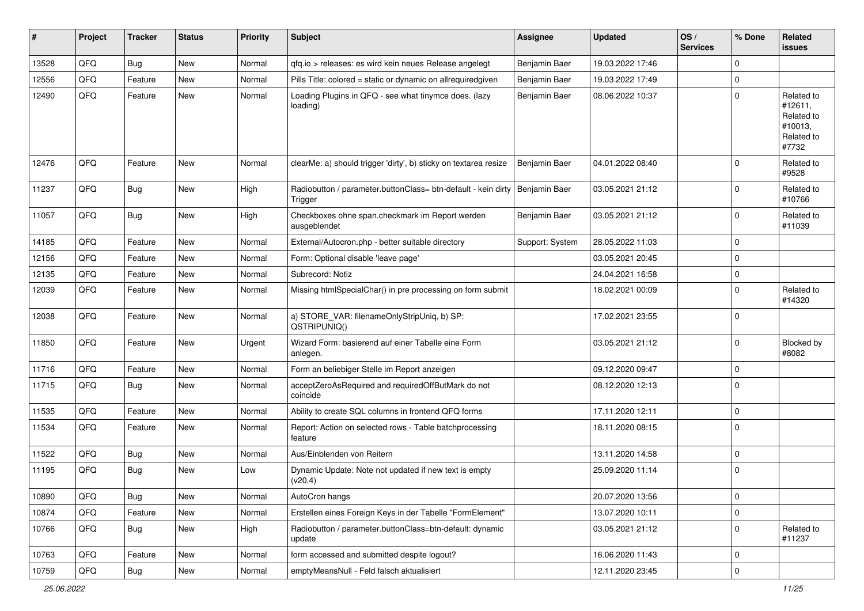| #     | Project | <b>Tracker</b> | <b>Status</b> | <b>Priority</b> | <b>Subject</b>                                                           | <b>Assignee</b> | <b>Updated</b>   | OS/<br><b>Services</b> | % Done      | Related<br>issues                                                     |
|-------|---------|----------------|---------------|-----------------|--------------------------------------------------------------------------|-----------------|------------------|------------------------|-------------|-----------------------------------------------------------------------|
| 13528 | QFQ     | <b>Bug</b>     | New           | Normal          | gfg.io > releases: es wird kein neues Release angelegt                   | Benjamin Baer   | 19.03.2022 17:46 |                        | $\Omega$    |                                                                       |
| 12556 | QFQ     | Feature        | New           | Normal          | Pills Title: colored = static or dynamic on allrequiredgiven             | Benjamin Baer   | 19.03.2022 17:49 |                        | $\Omega$    |                                                                       |
| 12490 | QFQ     | Feature        | New           | Normal          | Loading Plugins in QFQ - see what tinymce does. (lazy<br>loading)        | Benjamin Baer   | 08.06.2022 10:37 |                        | $\Omega$    | Related to<br>#12611,<br>Related to<br>#10013,<br>Related to<br>#7732 |
| 12476 | QFQ     | Feature        | New           | Normal          | clearMe: a) should trigger 'dirty', b) sticky on textarea resize         | Benjamin Baer   | 04.01.2022 08:40 |                        | $\Omega$    | Related to<br>#9528                                                   |
| 11237 | QFQ     | <b>Bug</b>     | New           | High            | Radiobutton / parameter.buttonClass= btn-default - kein dirty<br>Trigger | Benjamin Baer   | 03.05.2021 21:12 |                        | $\Omega$    | Related to<br>#10766                                                  |
| 11057 | QFQ     | <b>Bug</b>     | <b>New</b>    | High            | Checkboxes ohne span.checkmark im Report werden<br>ausgeblendet          | Benjamin Baer   | 03.05.2021 21:12 |                        | $\Omega$    | Related to<br>#11039                                                  |
| 14185 | QFQ     | Feature        | <b>New</b>    | Normal          | External/Autocron.php - better suitable directory                        | Support: System | 28.05.2022 11:03 |                        | $\Omega$    |                                                                       |
| 12156 | QFQ     | Feature        | New           | Normal          | Form: Optional disable 'leave page'                                      |                 | 03.05.2021 20:45 |                        | $\Omega$    |                                                                       |
| 12135 | QFQ     | Feature        | New           | Normal          | Subrecord: Notiz                                                         |                 | 24.04.2021 16:58 |                        | $\mathbf 0$ |                                                                       |
| 12039 | QFQ     | Feature        | <b>New</b>    | Normal          | Missing htmlSpecialChar() in pre processing on form submit               |                 | 18.02.2021 00:09 |                        | $\Omega$    | Related to<br>#14320                                                  |
| 12038 | QFQ     | Feature        | <b>New</b>    | Normal          | a) STORE_VAR: filenameOnlyStripUniq, b) SP:<br>QSTRIPUNIQ()              |                 | 17.02.2021 23:55 |                        | $\Omega$    |                                                                       |
| 11850 | QFQ     | Feature        | New           | Urgent          | Wizard Form: basierend auf einer Tabelle eine Form<br>anlegen.           |                 | 03.05.2021 21:12 |                        | $\Omega$    | <b>Blocked by</b><br>#8082                                            |
| 11716 | QFQ     | Feature        | New           | Normal          | Form an beliebiger Stelle im Report anzeigen                             |                 | 09.12.2020 09:47 |                        | $\Omega$    |                                                                       |
| 11715 | QFQ     | Bug            | New           | Normal          | acceptZeroAsRequired and requiredOffButMark do not<br>coincide           |                 | 08.12.2020 12:13 |                        | $\Omega$    |                                                                       |
| 11535 | QFQ     | Feature        | New           | Normal          | Ability to create SQL columns in frontend QFQ forms                      |                 | 17.11.2020 12:11 |                        | $\Omega$    |                                                                       |
| 11534 | QFQ     | Feature        | New           | Normal          | Report: Action on selected rows - Table batchprocessing<br>feature       |                 | 18.11.2020 08:15 |                        | $\Omega$    |                                                                       |
| 11522 | QFQ     | <b>Bug</b>     | New           | Normal          | Aus/Einblenden von Reitern                                               |                 | 13.11.2020 14:58 |                        | $\Omega$    |                                                                       |
| 11195 | QFQ     | Bug            | New           | Low             | Dynamic Update: Note not updated if new text is empty<br>(v20.4)         |                 | 25.09.2020 11:14 |                        | $\Omega$    |                                                                       |
| 10890 | QFQ     | <b>Bug</b>     | New           | Normal          | AutoCron hangs                                                           |                 | 20.07.2020 13:56 |                        | $\mathbf 0$ |                                                                       |
| 10874 | QFQ     | Feature        | New           | Normal          | Erstellen eines Foreign Keys in der Tabelle "FormElement"                |                 | 13.07.2020 10:11 |                        | 0           |                                                                       |
| 10766 | QFQ     | <b>Bug</b>     | New           | High            | Radiobutton / parameter.buttonClass=btn-default: dynamic<br>update       |                 | 03.05.2021 21:12 |                        | 0           | Related to<br>#11237                                                  |
| 10763 | QFQ     | Feature        | New           | Normal          | form accessed and submitted despite logout?                              |                 | 16.06.2020 11:43 |                        | 0           |                                                                       |
| 10759 | QFQ     | Bug            | New           | Normal          | emptyMeansNull - Feld falsch aktualisiert                                |                 | 12.11.2020 23:45 |                        | 0           |                                                                       |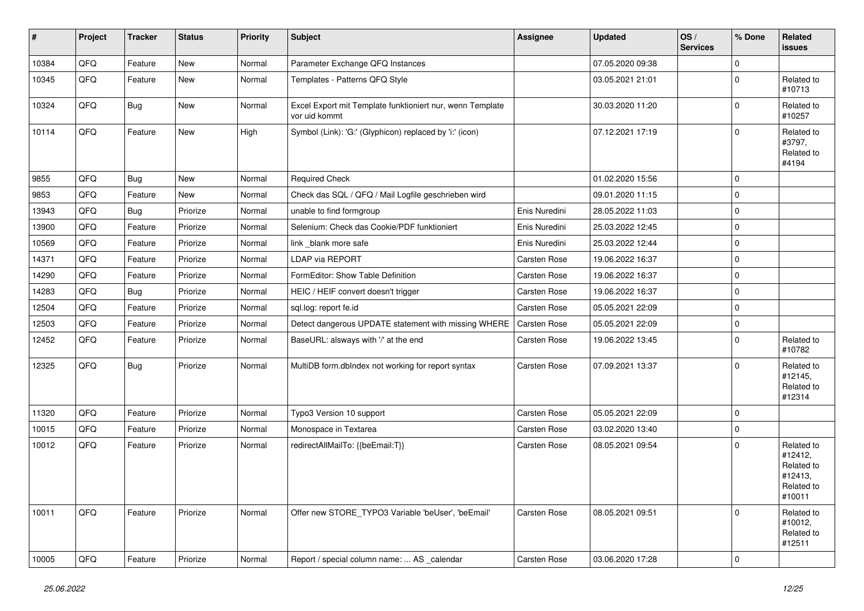| $\sharp$ | Project | <b>Tracker</b> | <b>Status</b> | <b>Priority</b> | Subject                                                                    | <b>Assignee</b>     | <b>Updated</b>   | OS/<br><b>Services</b> | % Done      | <b>Related</b><br><b>issues</b>                                        |
|----------|---------|----------------|---------------|-----------------|----------------------------------------------------------------------------|---------------------|------------------|------------------------|-------------|------------------------------------------------------------------------|
| 10384    | QFQ     | Feature        | <b>New</b>    | Normal          | Parameter Exchange QFQ Instances                                           |                     | 07.05.2020 09:38 |                        | $\mathbf 0$ |                                                                        |
| 10345    | QFQ     | Feature        | New           | Normal          | Templates - Patterns QFQ Style                                             |                     | 03.05.2021 21:01 |                        | $\mathbf 0$ | Related to<br>#10713                                                   |
| 10324    | QFQ     | Bug            | New           | Normal          | Excel Export mit Template funktioniert nur, wenn Template<br>vor uid kommt |                     | 30.03.2020 11:20 |                        | $\mathbf 0$ | Related to<br>#10257                                                   |
| 10114    | QFQ     | Feature        | <b>New</b>    | High            | Symbol (Link): 'G:' (Glyphicon) replaced by 'i:' (icon)                    |                     | 07.12.2021 17:19 |                        | $\mathbf 0$ | Related to<br>#3797,<br>Related to<br>#4194                            |
| 9855     | QFQ     | Bug            | <b>New</b>    | Normal          | <b>Required Check</b>                                                      |                     | 01.02.2020 15:56 |                        | $\mathbf 0$ |                                                                        |
| 9853     | QFQ     | Feature        | New           | Normal          | Check das SQL / QFQ / Mail Logfile geschrieben wird                        |                     | 09.01.2020 11:15 |                        | $\mathbf 0$ |                                                                        |
| 13943    | QFQ     | Bug            | Priorize      | Normal          | unable to find formgroup                                                   | Enis Nuredini       | 28.05.2022 11:03 |                        | $\mathbf 0$ |                                                                        |
| 13900    | QFQ     | Feature        | Priorize      | Normal          | Selenium: Check das Cookie/PDF funktioniert                                | Enis Nuredini       | 25.03.2022 12:45 |                        | $\mathbf 0$ |                                                                        |
| 10569    | QFQ     | Feature        | Priorize      | Normal          | link_blank more safe                                                       | Enis Nuredini       | 25.03.2022 12:44 |                        | $\mathbf 0$ |                                                                        |
| 14371    | QFQ     | Feature        | Priorize      | Normal          | <b>LDAP via REPORT</b>                                                     | <b>Carsten Rose</b> | 19.06.2022 16:37 |                        | $\mathbf 0$ |                                                                        |
| 14290    | QFQ     | Feature        | Priorize      | Normal          | FormEditor: Show Table Definition                                          | Carsten Rose        | 19.06.2022 16:37 |                        | $\mathbf 0$ |                                                                        |
| 14283    | QFQ     | Bug            | Priorize      | Normal          | HEIC / HEIF convert doesn't trigger                                        | <b>Carsten Rose</b> | 19.06.2022 16:37 |                        | $\mathbf 0$ |                                                                        |
| 12504    | QFQ     | Feature        | Priorize      | Normal          | sql.log: report fe.id                                                      | <b>Carsten Rose</b> | 05.05.2021 22:09 |                        | $\mathbf 0$ |                                                                        |
| 12503    | QFQ     | Feature        | Priorize      | Normal          | Detect dangerous UPDATE statement with missing WHERE                       | Carsten Rose        | 05.05.2021 22:09 |                        | $\mathbf 0$ |                                                                        |
| 12452    | QFQ     | Feature        | Priorize      | Normal          | BaseURL: alsways with '/' at the end                                       | Carsten Rose        | 19.06.2022 13:45 |                        | $\mathbf 0$ | Related to<br>#10782                                                   |
| 12325    | QFQ     | Bug            | Priorize      | Normal          | MultiDB form.dblndex not working for report syntax                         | Carsten Rose        | 07.09.2021 13:37 |                        | $\Omega$    | Related to<br>#12145,<br>Related to<br>#12314                          |
| 11320    | QFQ     | Feature        | Priorize      | Normal          | Typo3 Version 10 support                                                   | Carsten Rose        | 05.05.2021 22:09 |                        | $\mathbf 0$ |                                                                        |
| 10015    | QFQ     | Feature        | Priorize      | Normal          | Monospace in Textarea                                                      | Carsten Rose        | 03.02.2020 13:40 |                        | $\mathbf 0$ |                                                                        |
| 10012    | QFQ     | Feature        | Priorize      | Normal          | redirectAllMailTo: {{beEmail:T}}                                           | Carsten Rose        | 08.05.2021 09:54 |                        | $\mathbf 0$ | Related to<br>#12412,<br>Related to<br>#12413,<br>Related to<br>#10011 |
| 10011    | QFQ     | Feature        | Priorize      | Normal          | Offer new STORE_TYPO3 Variable 'beUser', 'beEmail'                         | <b>Carsten Rose</b> | 08.05.2021 09:51 |                        | $\mathbf 0$ | Related to<br>#10012,<br>Related to<br>#12511                          |
| 10005    | QFQ     | Feature        | Priorize      | Normal          | Report / special column name:  AS calendar                                 | <b>Carsten Rose</b> | 03.06.2020 17:28 |                        | $\mathbf 0$ |                                                                        |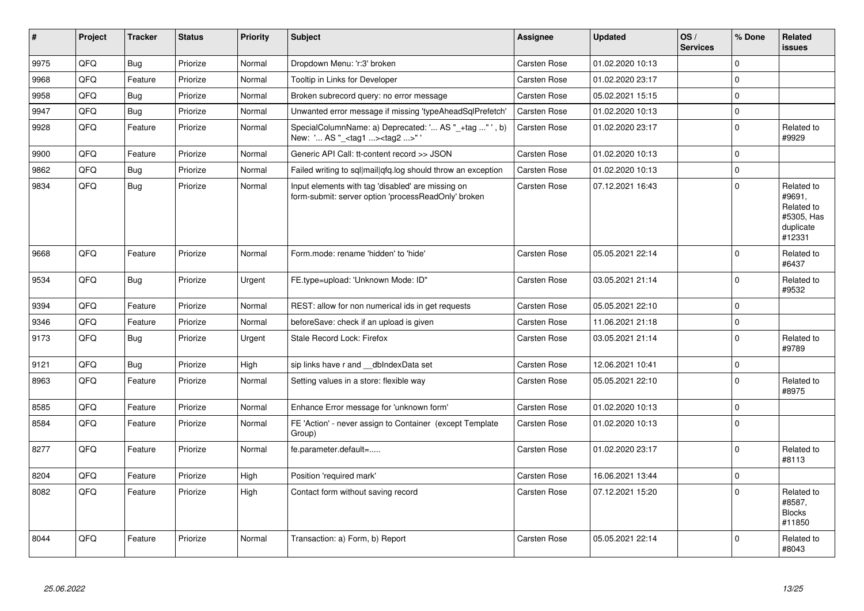| $\vert$ # | Project | <b>Tracker</b> | <b>Status</b> | <b>Priority</b> | Subject                                                                                                  | <b>Assignee</b>     | <b>Updated</b>   | OS/<br><b>Services</b> | % Done       | Related<br><b>issues</b>                                                |
|-----------|---------|----------------|---------------|-----------------|----------------------------------------------------------------------------------------------------------|---------------------|------------------|------------------------|--------------|-------------------------------------------------------------------------|
| 9975      | QFQ     | Bug            | Priorize      | Normal          | Dropdown Menu: 'r:3' broken                                                                              | Carsten Rose        | 01.02.2020 10:13 |                        | $\Omega$     |                                                                         |
| 9968      | QFQ     | Feature        | Priorize      | Normal          | Tooltip in Links for Developer                                                                           | Carsten Rose        | 01.02.2020 23:17 |                        | $\mathbf 0$  |                                                                         |
| 9958      | QFQ     | <b>Bug</b>     | Priorize      | Normal          | Broken subrecord query: no error message                                                                 | Carsten Rose        | 05.02.2021 15:15 |                        | $\Omega$     |                                                                         |
| 9947      | QFQ     | Bug            | Priorize      | Normal          | Unwanted error message if missing 'typeAheadSqlPrefetch'                                                 | <b>Carsten Rose</b> | 01.02.2020 10:13 |                        | $\mathbf 0$  |                                                                         |
| 9928      | QFQ     | Feature        | Priorize      | Normal          | SpecialColumnName: a) Deprecated: ' AS "_+tag " ', b)<br>New: ' AS "_ <tag1><tag2>"'</tag2></tag1>       | Carsten Rose        | 01.02.2020 23:17 |                        | $\Omega$     | Related to<br>#9929                                                     |
| 9900      | QFQ     | Feature        | Priorize      | Normal          | Generic API Call: tt-content record >> JSON                                                              | <b>Carsten Rose</b> | 01.02.2020 10:13 |                        | $\mathbf 0$  |                                                                         |
| 9862      | QFQ     | <b>Bug</b>     | Priorize      | Normal          | Failed writing to sql mail qfq.log should throw an exception                                             | <b>Carsten Rose</b> | 01.02.2020 10:13 |                        | $\Omega$     |                                                                         |
| 9834      | QFQ     | Bug            | Priorize      | Normal          | Input elements with tag 'disabled' are missing on<br>form-submit: server option 'processReadOnly' broken | Carsten Rose        | 07.12.2021 16:43 |                        | $\mathbf 0$  | Related to<br>#9691.<br>Related to<br>#5305, Has<br>duplicate<br>#12331 |
| 9668      | QFQ     | Feature        | Priorize      | Normal          | Form.mode: rename 'hidden' to 'hide'                                                                     | Carsten Rose        | 05.05.2021 22:14 |                        | $\Omega$     | Related to<br>#6437                                                     |
| 9534      | QFQ     | <b>Bug</b>     | Priorize      | Urgent          | FE.type=upload: 'Unknown Mode: ID"                                                                       | <b>Carsten Rose</b> | 03.05.2021 21:14 |                        | 0            | Related to<br>#9532                                                     |
| 9394      | QFQ     | Feature        | Priorize      | Normal          | REST: allow for non numerical ids in get requests                                                        | <b>Carsten Rose</b> | 05.05.2021 22:10 |                        | $\mathbf 0$  |                                                                         |
| 9346      | QFQ     | Feature        | Priorize      | Normal          | beforeSave: check if an upload is given                                                                  | <b>Carsten Rose</b> | 11.06.2021 21:18 |                        | $\Omega$     |                                                                         |
| 9173      | QFQ     | <b>Bug</b>     | Priorize      | Urgent          | Stale Record Lock: Firefox                                                                               | Carsten Rose        | 03.05.2021 21:14 |                        | $\mathbf 0$  | Related to<br>#9789                                                     |
| 9121      | QFQ     | Bug            | Priorize      | High            | sip links have r and __dbIndexData set                                                                   | Carsten Rose        | 12.06.2021 10:41 |                        | $\Omega$     |                                                                         |
| 8963      | QFQ     | Feature        | Priorize      | Normal          | Setting values in a store: flexible way                                                                  | Carsten Rose        | 05.05.2021 22:10 |                        | $\mathbf{0}$ | Related to<br>#8975                                                     |
| 8585      | QFQ     | Feature        | Priorize      | Normal          | Enhance Error message for 'unknown form'                                                                 | <b>Carsten Rose</b> | 01.02.2020 10:13 |                        | $\Omega$     |                                                                         |
| 8584      | QFQ     | Feature        | Priorize      | Normal          | FE 'Action' - never assign to Container (except Template<br>Group)                                       | Carsten Rose        | 01.02.2020 10:13 |                        | $\mathbf{0}$ |                                                                         |
| 8277      | QFQ     | Feature        | Priorize      | Normal          | fe.parameter.default=                                                                                    | <b>Carsten Rose</b> | 01.02.2020 23:17 |                        | 0            | Related to<br>#8113                                                     |
| 8204      | QFQ     | Feature        | Priorize      | High            | Position 'required mark'                                                                                 | Carsten Rose        | 16.06.2021 13:44 |                        | $\Omega$     |                                                                         |
| 8082      | QFQ     | Feature        | Priorize      | High            | Contact form without saving record                                                                       | <b>Carsten Rose</b> | 07.12.2021 15:20 |                        | $\Omega$     | Related to<br>#8587,<br><b>Blocks</b><br>#11850                         |
| 8044      | QFQ     | Feature        | Priorize      | Normal          | Transaction: a) Form, b) Report                                                                          | Carsten Rose        | 05.05.2021 22:14 |                        | $\Omega$     | Related to<br>#8043                                                     |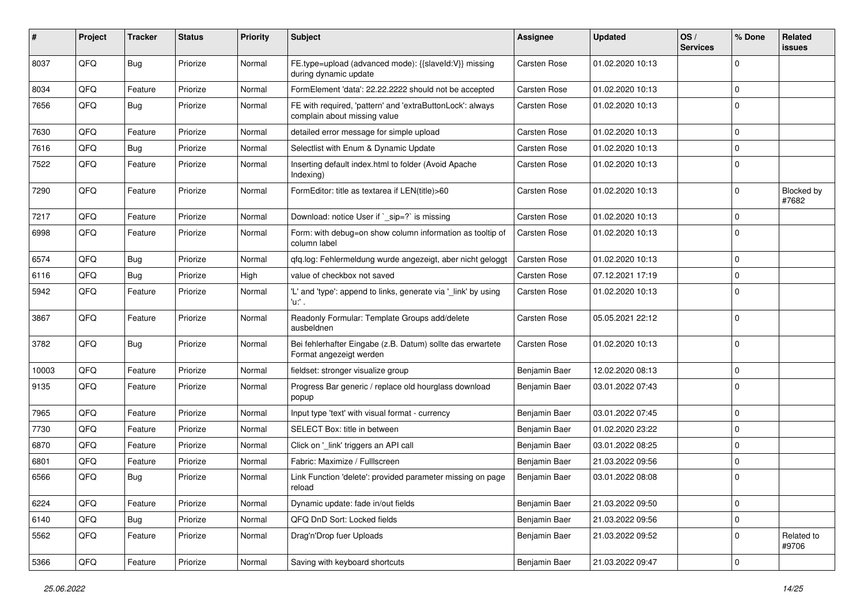| #     | Project | <b>Tracker</b> | <b>Status</b> | <b>Priority</b> | <b>Subject</b>                                                                            | <b>Assignee</b> | <b>Updated</b>   | OS/<br><b>Services</b> | % Done      | Related<br>issues   |
|-------|---------|----------------|---------------|-----------------|-------------------------------------------------------------------------------------------|-----------------|------------------|------------------------|-------------|---------------------|
| 8037  | QFQ     | Bug            | Priorize      | Normal          | FE.type=upload (advanced mode): {{slaveld:V}} missing<br>during dynamic update            | Carsten Rose    | 01.02.2020 10:13 |                        | $\Omega$    |                     |
| 8034  | QFQ     | Feature        | Priorize      | Normal          | FormElement 'data': 22.22.2222 should not be accepted                                     | Carsten Rose    | 01.02.2020 10:13 |                        | $\mathbf 0$ |                     |
| 7656  | QFQ     | <b>Bug</b>     | Priorize      | Normal          | FE with required, 'pattern' and 'extraButtonLock': always<br>complain about missing value | Carsten Rose    | 01.02.2020 10:13 |                        | $\Omega$    |                     |
| 7630  | QFQ     | Feature        | Priorize      | Normal          | detailed error message for simple upload                                                  | Carsten Rose    | 01.02.2020 10:13 |                        | $\mathbf 0$ |                     |
| 7616  | QFQ     | <b>Bug</b>     | Priorize      | Normal          | Selectlist with Enum & Dynamic Update                                                     | Carsten Rose    | 01.02.2020 10:13 |                        | $\mathbf 0$ |                     |
| 7522  | QFQ     | Feature        | Priorize      | Normal          | Inserting default index.html to folder (Avoid Apache<br>Indexing)                         | Carsten Rose    | 01.02.2020 10:13 |                        | $\mathbf 0$ |                     |
| 7290  | QFQ     | Feature        | Priorize      | Normal          | FormEditor: title as textarea if LEN(title)>60                                            | Carsten Rose    | 01.02.2020 10:13 |                        | $\mathbf 0$ | Blocked by<br>#7682 |
| 7217  | QFQ     | Feature        | Priorize      | Normal          | Download: notice User if `_sip=?` is missing                                              | Carsten Rose    | 01.02.2020 10:13 |                        | $\mathbf 0$ |                     |
| 6998  | QFQ     | Feature        | Priorize      | Normal          | Form: with debug=on show column information as tooltip of<br>column label                 | Carsten Rose    | 01.02.2020 10:13 |                        | $\mathbf 0$ |                     |
| 6574  | QFQ     | <b>Bug</b>     | Priorize      | Normal          | qfq.log: Fehlermeldung wurde angezeigt, aber nicht geloggt                                | Carsten Rose    | 01.02.2020 10:13 |                        | $\mathbf 0$ |                     |
| 6116  | QFQ     | <b>Bug</b>     | Priorize      | High            | value of checkbox not saved                                                               | Carsten Rose    | 07.12.2021 17:19 |                        | $\Omega$    |                     |
| 5942  | QFQ     | Feature        | Priorize      | Normal          | 'L' and 'type': append to links, generate via '_link' by using<br>'u:' .                  | Carsten Rose    | 01.02.2020 10:13 |                        | $\Omega$    |                     |
| 3867  | QFQ     | Feature        | Priorize      | Normal          | Readonly Formular: Template Groups add/delete<br>ausbeldnen                               | Carsten Rose    | 05.05.2021 22:12 |                        | $\Omega$    |                     |
| 3782  | QFQ     | <b>Bug</b>     | Priorize      | Normal          | Bei fehlerhafter Eingabe (z.B. Datum) sollte das erwartete<br>Format angezeigt werden     | Carsten Rose    | 01.02.2020 10:13 |                        | $\mathbf 0$ |                     |
| 10003 | QFQ     | Feature        | Priorize      | Normal          | fieldset: stronger visualize group                                                        | Benjamin Baer   | 12.02.2020 08:13 |                        | $\mathbf 0$ |                     |
| 9135  | QFQ     | Feature        | Priorize      | Normal          | Progress Bar generic / replace old hourglass download<br>popup                            | Benjamin Baer   | 03.01.2022 07:43 |                        | $\Omega$    |                     |
| 7965  | QFQ     | Feature        | Priorize      | Normal          | Input type 'text' with visual format - currency                                           | Benjamin Baer   | 03.01.2022 07:45 |                        | $\mathbf 0$ |                     |
| 7730  | QFQ     | Feature        | Priorize      | Normal          | SELECT Box: title in between                                                              | Benjamin Baer   | 01.02.2020 23:22 |                        | $\Omega$    |                     |
| 6870  | QFQ     | Feature        | Priorize      | Normal          | Click on '_link' triggers an API call                                                     | Benjamin Baer   | 03.01.2022 08:25 |                        | $\mathbf 0$ |                     |
| 6801  | QFQ     | Feature        | Priorize      | Normal          | Fabric: Maximize / FullIscreen                                                            | Benjamin Baer   | 21.03.2022 09:56 |                        | $\mathbf 0$ |                     |
| 6566  | QFQ     | Bug            | Priorize      | Normal          | Link Function 'delete': provided parameter missing on page<br>reload                      | Benjamin Baer   | 03.01.2022 08:08 |                        | $\mathbf 0$ |                     |
| 6224  | QFQ     | Feature        | Priorize      | Normal          | Dynamic update: fade in/out fields                                                        | Benjamin Baer   | 21.03.2022 09:50 |                        | $\mathbf 0$ |                     |
| 6140  | QFQ     | Bug            | Priorize      | Normal          | QFQ DnD Sort: Locked fields                                                               | Benjamin Baer   | 21.03.2022 09:56 |                        | $\mathbf 0$ |                     |
| 5562  | QFQ     | Feature        | Priorize      | Normal          | Drag'n'Drop fuer Uploads                                                                  | Benjamin Baer   | 21.03.2022 09:52 |                        | $\mathbf 0$ | Related to<br>#9706 |
| 5366  | QFQ     | Feature        | Priorize      | Normal          | Saving with keyboard shortcuts                                                            | Benjamin Baer   | 21.03.2022 09:47 |                        | $\mathbf 0$ |                     |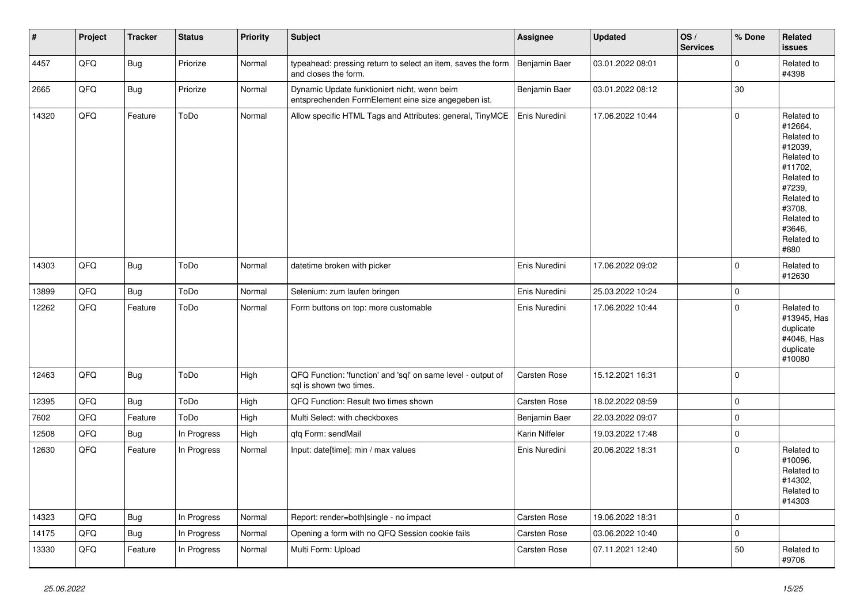| $\vert$ # | Project | <b>Tracker</b> | <b>Status</b> | <b>Priority</b> | <b>Subject</b>                                                                                      | Assignee            | <b>Updated</b>   | OS/<br><b>Services</b> | % Done      | <b>Related</b><br><b>issues</b>                                                                                                                                       |
|-----------|---------|----------------|---------------|-----------------|-----------------------------------------------------------------------------------------------------|---------------------|------------------|------------------------|-------------|-----------------------------------------------------------------------------------------------------------------------------------------------------------------------|
| 4457      | QFQ     | <b>Bug</b>     | Priorize      | Normal          | typeahead: pressing return to select an item, saves the form<br>and closes the form.                | Benjamin Baer       | 03.01.2022 08:01 |                        | $\Omega$    | Related to<br>#4398                                                                                                                                                   |
| 2665      | QFQ     | <b>Bug</b>     | Priorize      | Normal          | Dynamic Update funktioniert nicht, wenn beim<br>entsprechenden FormElement eine size angegeben ist. | Benjamin Baer       | 03.01.2022 08:12 |                        | 30          |                                                                                                                                                                       |
| 14320     | QFQ     | Feature        | ToDo          | Normal          | Allow specific HTML Tags and Attributes: general, TinyMCE                                           | Enis Nuredini       | 17.06.2022 10:44 |                        | $\mathbf 0$ | Related to<br>#12664,<br>Related to<br>#12039,<br>Related to<br>#11702,<br>Related to<br>#7239,<br>Related to<br>#3708,<br>Related to<br>#3646,<br>Related to<br>#880 |
| 14303     | QFQ     | Bug            | ToDo          | Normal          | datetime broken with picker                                                                         | Enis Nuredini       | 17.06.2022 09:02 |                        | $\Omega$    | Related to<br>#12630                                                                                                                                                  |
| 13899     | QFQ     | <b>Bug</b>     | ToDo          | Normal          | Selenium: zum laufen bringen                                                                        | Enis Nuredini       | 25.03.2022 10:24 |                        | $\mathbf 0$ |                                                                                                                                                                       |
| 12262     | QFQ     | Feature        | ToDo          | Normal          | Form buttons on top: more customable                                                                | Enis Nuredini       | 17.06.2022 10:44 |                        | $\mathbf 0$ | Related to<br>#13945, Has<br>duplicate<br>#4046, Has<br>duplicate<br>#10080                                                                                           |
| 12463     | QFQ     | Bug            | ToDo          | High            | QFQ Function: 'function' and 'sql' on same level - output of<br>sql is shown two times.             | Carsten Rose        | 15.12.2021 16:31 |                        | $\Omega$    |                                                                                                                                                                       |
| 12395     | QFQ     | <b>Bug</b>     | ToDo          | High            | QFQ Function: Result two times shown                                                                | Carsten Rose        | 18.02.2022 08:59 |                        | $\mathbf 0$ |                                                                                                                                                                       |
| 7602      | QFQ     | Feature        | ToDo          | High            | Multi Select: with checkboxes                                                                       | Benjamin Baer       | 22.03.2022 09:07 |                        | 0           |                                                                                                                                                                       |
| 12508     | QFQ     | Bug            | In Progress   | High            | qfq Form: sendMail                                                                                  | Karin Niffeler      | 19.03.2022 17:48 |                        | $\mathbf 0$ |                                                                                                                                                                       |
| 12630     | QFQ     | Feature        | In Progress   | Normal          | Input: date[time]: min / max values                                                                 | Enis Nuredini       | 20.06.2022 18:31 |                        | $\mathbf 0$ | Related to<br>#10096,<br>Related to<br>#14302,<br>Related to<br>#14303                                                                                                |
| 14323     | QFQ     | Bug            | In Progress   | Normal          | Report: render=both single - no impact                                                              | <b>Carsten Rose</b> | 19.06.2022 18:31 |                        | $\mathbf 0$ |                                                                                                                                                                       |
| 14175     | QFQ     | Bug            | In Progress   | Normal          | Opening a form with no QFQ Session cookie fails                                                     | Carsten Rose        | 03.06.2022 10:40 |                        | $\mathbf 0$ |                                                                                                                                                                       |
| 13330     | QFQ     | Feature        | In Progress   | Normal          | Multi Form: Upload                                                                                  | <b>Carsten Rose</b> | 07.11.2021 12:40 |                        | 50          | Related to<br>#9706                                                                                                                                                   |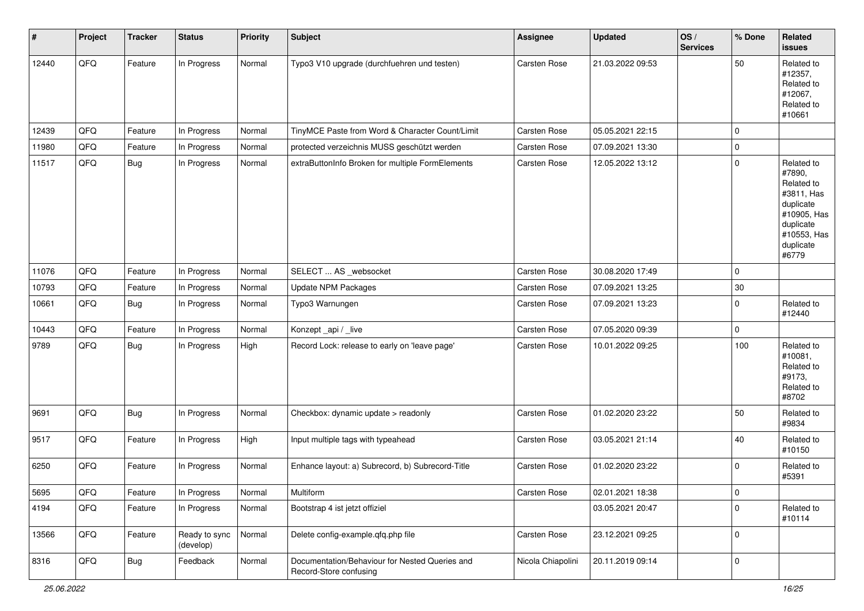| $\vert$ # | Project | <b>Tracker</b> | <b>Status</b>              | <b>Priority</b> | <b>Subject</b>                                                           | <b>Assignee</b>     | <b>Updated</b>   | OS/<br><b>Services</b> | % Done      | Related<br>issues                                                                                                              |
|-----------|---------|----------------|----------------------------|-----------------|--------------------------------------------------------------------------|---------------------|------------------|------------------------|-------------|--------------------------------------------------------------------------------------------------------------------------------|
| 12440     | QFQ     | Feature        | In Progress                | Normal          | Typo3 V10 upgrade (durchfuehren und testen)                              | <b>Carsten Rose</b> | 21.03.2022 09:53 |                        | 50          | Related to<br>#12357,<br>Related to<br>#12067,<br>Related to<br>#10661                                                         |
| 12439     | QFQ     | Feature        | In Progress                | Normal          | TinyMCE Paste from Word & Character Count/Limit                          | <b>Carsten Rose</b> | 05.05.2021 22:15 |                        | $\mathbf 0$ |                                                                                                                                |
| 11980     | QFQ     | Feature        | In Progress                | Normal          | protected verzeichnis MUSS geschützt werden                              | <b>Carsten Rose</b> | 07.09.2021 13:30 |                        | 0           |                                                                                                                                |
| 11517     | QFQ     | <b>Bug</b>     | In Progress                | Normal          | extraButtonInfo Broken for multiple FormElements                         | Carsten Rose        | 12.05.2022 13:12 |                        | $\mathbf 0$ | Related to<br>#7890,<br>Related to<br>#3811, Has<br>duplicate<br>#10905, Has<br>duplicate<br>#10553, Has<br>duplicate<br>#6779 |
| 11076     | QFQ     | Feature        | In Progress                | Normal          | SELECT  AS _websocket                                                    | Carsten Rose        | 30.08.2020 17:49 |                        | $\mathbf 0$ |                                                                                                                                |
| 10793     | QFQ     | Feature        | In Progress                | Normal          | <b>Update NPM Packages</b>                                               | Carsten Rose        | 07.09.2021 13:25 |                        | $30\,$      |                                                                                                                                |
| 10661     | QFQ     | <b>Bug</b>     | In Progress                | Normal          | Typo3 Warnungen                                                          | Carsten Rose        | 07.09.2021 13:23 |                        | $\mathbf 0$ | Related to<br>#12440                                                                                                           |
| 10443     | QFQ     | Feature        | In Progress                | Normal          | Konzept_api / _live                                                      | Carsten Rose        | 07.05.2020 09:39 |                        | 0           |                                                                                                                                |
| 9789      | QFQ     | <b>Bug</b>     | In Progress                | High            | Record Lock: release to early on 'leave page'                            | Carsten Rose        | 10.01.2022 09:25 |                        | 100         | Related to<br>#10081,<br>Related to<br>#9173,<br>Related to<br>#8702                                                           |
| 9691      | QFQ     | <b>Bug</b>     | In Progress                | Normal          | Checkbox: dynamic update > readonly                                      | <b>Carsten Rose</b> | 01.02.2020 23:22 |                        | 50          | Related to<br>#9834                                                                                                            |
| 9517      | QFQ     | Feature        | In Progress                | High            | Input multiple tags with typeahead                                       | Carsten Rose        | 03.05.2021 21:14 |                        | 40          | Related to<br>#10150                                                                                                           |
| 6250      | QFQ     | Feature        | In Progress                | Normal          | Enhance layout: a) Subrecord, b) Subrecord-Title                         | Carsten Rose        | 01.02.2020 23:22 |                        | $\mathbf 0$ | Related to<br>#5391                                                                                                            |
| 5695      | QFQ     | Feature        | In Progress                | Normal          | Multiform                                                                | Carsten Rose        | 02.01.2021 18:38 |                        | 0           |                                                                                                                                |
| 4194      | QFQ     | Feature        | In Progress                | Normal          | Bootstrap 4 ist jetzt offiziel                                           |                     | 03.05.2021 20:47 |                        | 0           | Related to<br>#10114                                                                                                           |
| 13566     | QFQ     | Feature        | Ready to sync<br>(develop) | Normal          | Delete config-example.qfq.php file                                       | Carsten Rose        | 23.12.2021 09:25 |                        | 0           |                                                                                                                                |
| 8316      | QFQ     | <b>Bug</b>     | Feedback                   | Normal          | Documentation/Behaviour for Nested Queries and<br>Record-Store confusing | Nicola Chiapolini   | 20.11.2019 09:14 |                        | 0           |                                                                                                                                |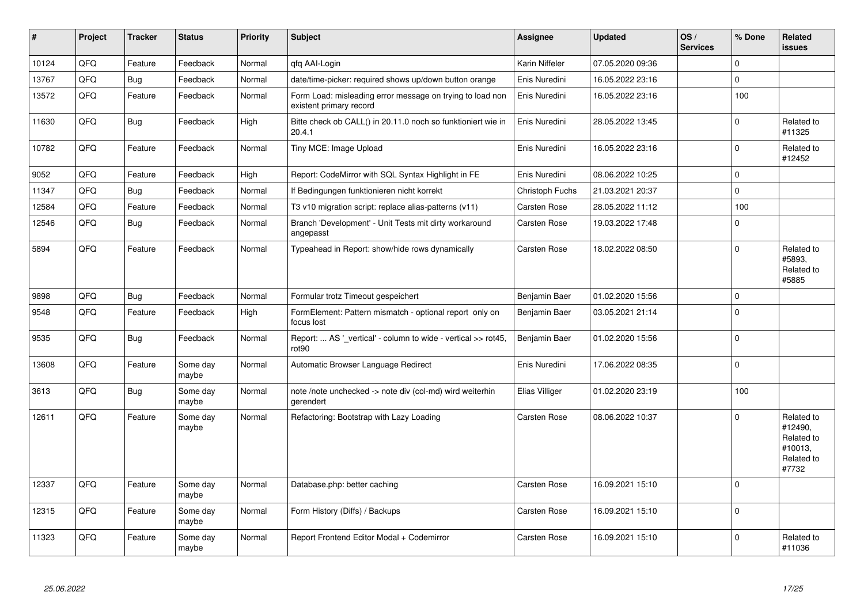| #     | Project | <b>Tracker</b> | <b>Status</b>     | <b>Priority</b> | <b>Subject</b>                                                                       | <b>Assignee</b>     | <b>Updated</b>   | OS/<br><b>Services</b> | % Done      | Related<br>issues                                                     |
|-------|---------|----------------|-------------------|-----------------|--------------------------------------------------------------------------------------|---------------------|------------------|------------------------|-------------|-----------------------------------------------------------------------|
| 10124 | QFQ     | Feature        | Feedback          | Normal          | qfq AAI-Login                                                                        | Karin Niffeler      | 07.05.2020 09:36 |                        | $\Omega$    |                                                                       |
| 13767 | QFQ     | <b>Bug</b>     | Feedback          | Normal          | date/time-picker: required shows up/down button orange                               | Enis Nuredini       | 16.05.2022 23:16 |                        | $\mathbf 0$ |                                                                       |
| 13572 | QFQ     | Feature        | Feedback          | Normal          | Form Load: misleading error message on trying to load non<br>existent primary record | Enis Nuredini       | 16.05.2022 23:16 |                        | 100         |                                                                       |
| 11630 | QFQ     | <b>Bug</b>     | Feedback          | High            | Bitte check ob CALL() in 20.11.0 noch so funktioniert wie in<br>20.4.1               | Enis Nuredini       | 28.05.2022 13:45 |                        | $\mathbf 0$ | Related to<br>#11325                                                  |
| 10782 | QFQ     | Feature        | Feedback          | Normal          | Tiny MCE: Image Upload                                                               | Enis Nuredini       | 16.05.2022 23:16 |                        | $\Omega$    | Related to<br>#12452                                                  |
| 9052  | QFQ     | Feature        | Feedback          | High            | Report: CodeMirror with SQL Syntax Highlight in FE                                   | Enis Nuredini       | 08.06.2022 10:25 |                        | $\Omega$    |                                                                       |
| 11347 | QFQ     | <b>Bug</b>     | Feedback          | Normal          | If Bedingungen funktionieren nicht korrekt                                           | Christoph Fuchs     | 21.03.2021 20:37 |                        | 0           |                                                                       |
| 12584 | QFQ     | Feature        | Feedback          | Normal          | T3 v10 migration script: replace alias-patterns (v11)                                | Carsten Rose        | 28.05.2022 11:12 |                        | 100         |                                                                       |
| 12546 | QFQ     | <b>Bug</b>     | Feedback          | Normal          | Branch 'Development' - Unit Tests mit dirty workaround<br>angepasst                  | Carsten Rose        | 19.03.2022 17:48 |                        | 0           |                                                                       |
| 5894  | QFQ     | Feature        | Feedback          | Normal          | Typeahead in Report: show/hide rows dynamically                                      | Carsten Rose        | 18.02.2022 08:50 |                        | $\Omega$    | Related to<br>#5893.<br>Related to<br>#5885                           |
| 9898  | QFQ     | <b>Bug</b>     | Feedback          | Normal          | Formular trotz Timeout gespeichert                                                   | Benjamin Baer       | 01.02.2020 15:56 |                        | $\Omega$    |                                                                       |
| 9548  | QFQ     | Feature        | Feedback          | High            | FormElement: Pattern mismatch - optional report only on<br>focus lost                | Benjamin Baer       | 03.05.2021 21:14 |                        | $\Omega$    |                                                                       |
| 9535  | QFQ     | <b>Bug</b>     | Feedback          | Normal          | Report:  AS '_vertical' - column to wide - vertical >> rot45,<br>rot90               | Benjamin Baer       | 01.02.2020 15:56 |                        | $\mathbf 0$ |                                                                       |
| 13608 | QFQ     | Feature        | Some day<br>maybe | Normal          | Automatic Browser Language Redirect                                                  | Enis Nuredini       | 17.06.2022 08:35 |                        | $\pmb{0}$   |                                                                       |
| 3613  | QFQ     | <b>Bug</b>     | Some day<br>maybe | Normal          | note /note unchecked -> note div (col-md) wird weiterhin<br>gerendert                | Elias Villiger      | 01.02.2020 23:19 |                        | 100         |                                                                       |
| 12611 | QFQ     | Feature        | Some day<br>maybe | Normal          | Refactoring: Bootstrap with Lazy Loading                                             | Carsten Rose        | 08.06.2022 10:37 |                        | $\Omega$    | Related to<br>#12490,<br>Related to<br>#10013,<br>Related to<br>#7732 |
| 12337 | QFQ     | Feature        | Some day<br>maybe | Normal          | Database.php: better caching                                                         | Carsten Rose        | 16.09.2021 15:10 |                        | $\Omega$    |                                                                       |
| 12315 | QFQ     | Feature        | Some day<br>maybe | Normal          | Form History (Diffs) / Backups                                                       | Carsten Rose        | 16.09.2021 15:10 |                        | $\mathbf 0$ |                                                                       |
| 11323 | QFQ     | Feature        | Some day<br>maybe | Normal          | Report Frontend Editor Modal + Codemirror                                            | <b>Carsten Rose</b> | 16.09.2021 15:10 |                        | $\Omega$    | Related to<br>#11036                                                  |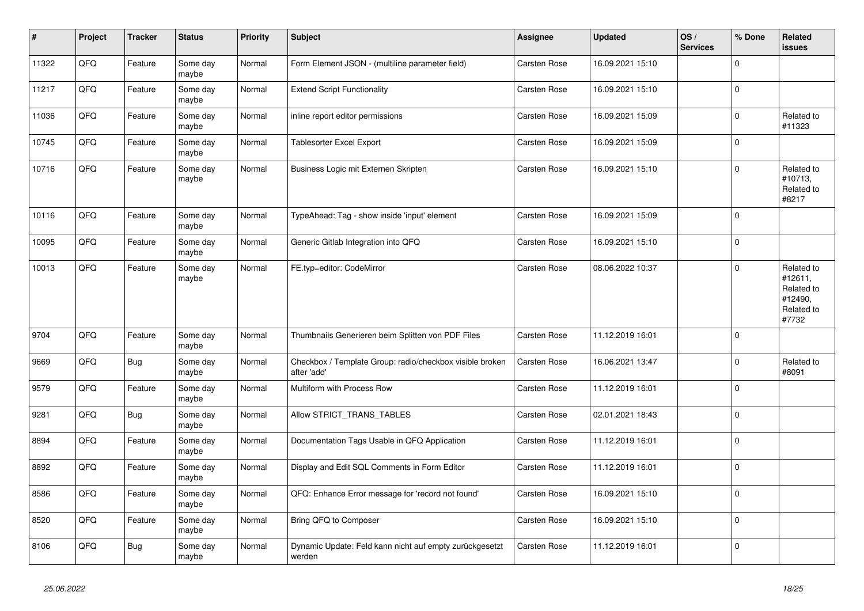| $\vert$ # | Project | <b>Tracker</b> | <b>Status</b>     | <b>Priority</b> | <b>Subject</b>                                                          | Assignee            | <b>Updated</b>   | OS/<br><b>Services</b> | % Done      | Related<br>issues                                                     |
|-----------|---------|----------------|-------------------|-----------------|-------------------------------------------------------------------------|---------------------|------------------|------------------------|-------------|-----------------------------------------------------------------------|
| 11322     | QFQ     | Feature        | Some day<br>maybe | Normal          | Form Element JSON - (multiline parameter field)                         | <b>Carsten Rose</b> | 16.09.2021 15:10 |                        | $\Omega$    |                                                                       |
| 11217     | QFQ     | Feature        | Some day<br>maybe | Normal          | <b>Extend Script Functionality</b>                                      | Carsten Rose        | 16.09.2021 15:10 |                        | 0           |                                                                       |
| 11036     | QFQ     | Feature        | Some day<br>maybe | Normal          | inline report editor permissions                                        | Carsten Rose        | 16.09.2021 15:09 |                        | $\pmb{0}$   | Related to<br>#11323                                                  |
| 10745     | QFQ     | Feature        | Some day<br>maybe | Normal          | Tablesorter Excel Export                                                | <b>Carsten Rose</b> | 16.09.2021 15:09 |                        | $\Omega$    |                                                                       |
| 10716     | QFQ     | Feature        | Some day<br>maybe | Normal          | Business Logic mit Externen Skripten                                    | Carsten Rose        | 16.09.2021 15:10 |                        | 0           | Related to<br>#10713,<br>Related to<br>#8217                          |
| 10116     | QFQ     | Feature        | Some day<br>maybe | Normal          | TypeAhead: Tag - show inside 'input' element                            | <b>Carsten Rose</b> | 16.09.2021 15:09 |                        | $\mathbf 0$ |                                                                       |
| 10095     | QFQ     | Feature        | Some day<br>maybe | Normal          | Generic Gitlab Integration into QFQ                                     | Carsten Rose        | 16.09.2021 15:10 |                        | $\mathbf 0$ |                                                                       |
| 10013     | QFG     | Feature        | Some day<br>maybe | Normal          | FE.typ=editor: CodeMirror                                               | Carsten Rose        | 08.06.2022 10:37 |                        | $\Omega$    | Related to<br>#12611,<br>Related to<br>#12490,<br>Related to<br>#7732 |
| 9704      | QFQ     | Feature        | Some day<br>maybe | Normal          | Thumbnails Generieren beim Splitten von PDF Files                       | <b>Carsten Rose</b> | 11.12.2019 16:01 |                        | $\Omega$    |                                                                       |
| 9669      | QFQ     | <b>Bug</b>     | Some day<br>maybe | Normal          | Checkbox / Template Group: radio/checkbox visible broken<br>after 'add' | Carsten Rose        | 16.06.2021 13:47 |                        | 0           | Related to<br>#8091                                                   |
| 9579      | QFQ     | Feature        | Some day<br>maybe | Normal          | Multiform with Process Row                                              | Carsten Rose        | 11.12.2019 16:01 |                        | 0           |                                                                       |
| 9281      | QFQ     | <b>Bug</b>     | Some day<br>maybe | Normal          | Allow STRICT_TRANS_TABLES                                               | Carsten Rose        | 02.01.2021 18:43 |                        | $\mathbf 0$ |                                                                       |
| 8894      | QFQ     | Feature        | Some day<br>maybe | Normal          | Documentation Tags Usable in QFQ Application                            | Carsten Rose        | 11.12.2019 16:01 |                        | $\mathbf 0$ |                                                                       |
| 8892      | QFQ     | Feature        | Some day<br>maybe | Normal          | Display and Edit SQL Comments in Form Editor                            | <b>Carsten Rose</b> | 11.12.2019 16:01 |                        | $\Omega$    |                                                                       |
| 8586      | QFQ     | Feature        | Some day<br>maybe | Normal          | QFQ: Enhance Error message for 'record not found'                       | Carsten Rose        | 16.09.2021 15:10 |                        | $\mathbf 0$ |                                                                       |
| 8520      | QFQ     | Feature        | Some day<br>maybe | Normal          | Bring QFQ to Composer                                                   | Carsten Rose        | 16.09.2021 15:10 |                        | $\mathbf 0$ |                                                                       |
| 8106      | QFQ     | Bug            | Some day<br>maybe | Normal          | Dynamic Update: Feld kann nicht auf empty zurückgesetzt<br>werden       | Carsten Rose        | 11.12.2019 16:01 |                        | $\mathbf 0$ |                                                                       |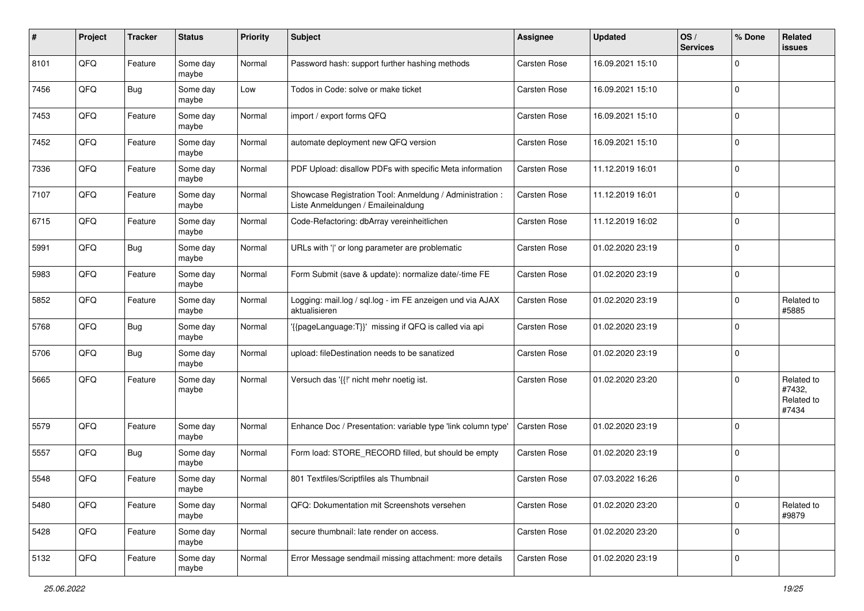| #    | Project | <b>Tracker</b> | <b>Status</b>     | <b>Priority</b> | <b>Subject</b>                                                                                 | Assignee            | <b>Updated</b>   | OS/<br><b>Services</b> | % Done      | Related<br>issues                           |
|------|---------|----------------|-------------------|-----------------|------------------------------------------------------------------------------------------------|---------------------|------------------|------------------------|-------------|---------------------------------------------|
| 8101 | QFQ     | Feature        | Some day<br>maybe | Normal          | Password hash: support further hashing methods                                                 | <b>Carsten Rose</b> | 16.09.2021 15:10 |                        | $\mathbf 0$ |                                             |
| 7456 | QFQ     | Bug            | Some day<br>maybe | Low             | Todos in Code: solve or make ticket                                                            | Carsten Rose        | 16.09.2021 15:10 |                        | $\mathbf 0$ |                                             |
| 7453 | QFQ     | Feature        | Some day<br>maybe | Normal          | import / export forms QFQ                                                                      | Carsten Rose        | 16.09.2021 15:10 |                        | $\mathbf 0$ |                                             |
| 7452 | QFQ     | Feature        | Some day<br>maybe | Normal          | automate deployment new QFQ version                                                            | Carsten Rose        | 16.09.2021 15:10 |                        | $\mathbf 0$ |                                             |
| 7336 | QFQ     | Feature        | Some day<br>maybe | Normal          | PDF Upload: disallow PDFs with specific Meta information                                       | Carsten Rose        | 11.12.2019 16:01 |                        | $\mathbf 0$ |                                             |
| 7107 | QFQ     | Feature        | Some day<br>maybe | Normal          | Showcase Registration Tool: Anmeldung / Administration :<br>Liste Anmeldungen / Emaileinaldung | Carsten Rose        | 11.12.2019 16:01 |                        | $\mathbf 0$ |                                             |
| 6715 | QFQ     | Feature        | Some day<br>maybe | Normal          | Code-Refactoring: dbArray vereinheitlichen                                                     | Carsten Rose        | 11.12.2019 16:02 |                        | $\mathbf 0$ |                                             |
| 5991 | QFQ     | <b>Bug</b>     | Some day<br>maybe | Normal          | URLs with ' ' or long parameter are problematic                                                | Carsten Rose        | 01.02.2020 23:19 |                        | $\mathbf 0$ |                                             |
| 5983 | QFQ     | Feature        | Some day<br>maybe | Normal          | Form Submit (save & update): normalize date/-time FE                                           | Carsten Rose        | 01.02.2020 23:19 |                        | $\mathbf 0$ |                                             |
| 5852 | QFQ     | Feature        | Some day<br>maybe | Normal          | Logging: mail.log / sgl.log - im FE anzeigen und via AJAX<br>aktualisieren                     | Carsten Rose        | 01.02.2020 23:19 |                        | 0           | Related to<br>#5885                         |
| 5768 | QFQ     | <b>Bug</b>     | Some day<br>maybe | Normal          | '{{pageLanguage:T}}' missing if QFQ is called via api                                          | Carsten Rose        | 01.02.2020 23:19 |                        | $\mathbf 0$ |                                             |
| 5706 | QFQ     | <b>Bug</b>     | Some day<br>maybe | Normal          | upload: fileDestination needs to be sanatized                                                  | Carsten Rose        | 01.02.2020 23:19 |                        | $\mathbf 0$ |                                             |
| 5665 | QFQ     | Feature        | Some day<br>maybe | Normal          | Versuch das '{{!' nicht mehr noetig ist.                                                       | <b>Carsten Rose</b> | 01.02.2020 23:20 |                        | $\mathbf 0$ | Related to<br>#7432,<br>Related to<br>#7434 |
| 5579 | QFQ     | Feature        | Some day<br>maybe | Normal          | Enhance Doc / Presentation: variable type 'link column type'                                   | Carsten Rose        | 01.02.2020 23:19 |                        | $\mathbf 0$ |                                             |
| 5557 | QFQ     | Bug            | Some day<br>maybe | Normal          | Form load: STORE_RECORD filled, but should be empty                                            | Carsten Rose        | 01.02.2020 23:19 |                        | $\mathbf 0$ |                                             |
| 5548 | QFQ     | Feature        | Some day<br>maybe | Normal          | 801 Textfiles/Scriptfiles als Thumbnail                                                        | Carsten Rose        | 07.03.2022 16:26 |                        | $\mathbf 0$ |                                             |
| 5480 | QFQ     | Feature        | Some day<br>maybe | Normal          | QFQ: Dokumentation mit Screenshots versehen                                                    | Carsten Rose        | 01.02.2020 23:20 |                        | $\mathbf 0$ | Related to<br>#9879                         |
| 5428 | QFQ     | Feature        | Some day<br>maybe | Normal          | secure thumbnail: late render on access.                                                       | Carsten Rose        | 01.02.2020 23:20 |                        | $\mathbf 0$ |                                             |
| 5132 | QFQ     | Feature        | Some day<br>maybe | Normal          | Error Message sendmail missing attachment: more details                                        | Carsten Rose        | 01.02.2020 23:19 |                        | $\mathbf 0$ |                                             |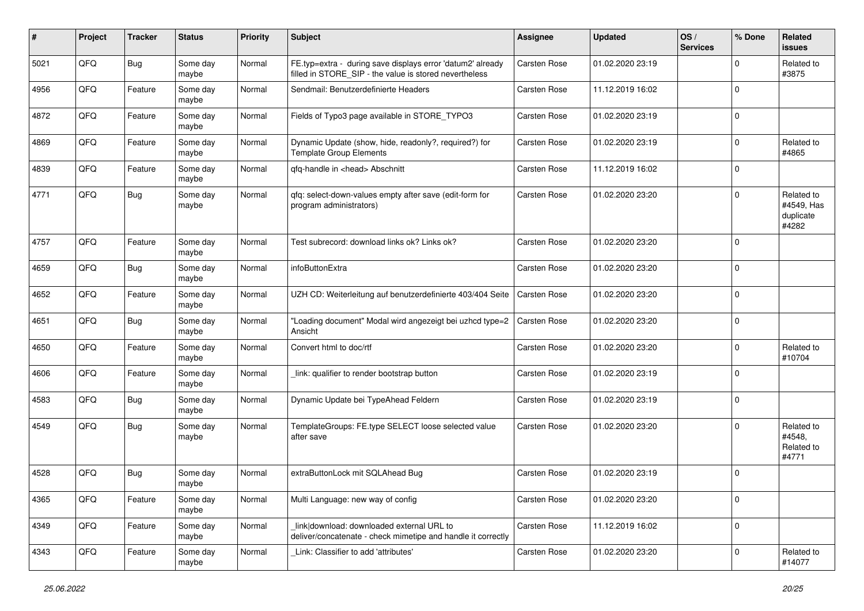| #    | Project | <b>Tracker</b> | <b>Status</b>     | <b>Priority</b> | <b>Subject</b>                                                                                                       | <b>Assignee</b>     | <b>Updated</b>   | OS/<br><b>Services</b> | % Done      | Related<br>issues                              |
|------|---------|----------------|-------------------|-----------------|----------------------------------------------------------------------------------------------------------------------|---------------------|------------------|------------------------|-------------|------------------------------------------------|
| 5021 | QFQ     | Bug            | Some day<br>maybe | Normal          | FE.typ=extra - during save displays error 'datum2' already<br>filled in STORE_SIP - the value is stored nevertheless | Carsten Rose        | 01.02.2020 23:19 |                        | $\Omega$    | Related to<br>#3875                            |
| 4956 | QFQ     | Feature        | Some day<br>maybe | Normal          | Sendmail: Benutzerdefinierte Headers                                                                                 | Carsten Rose        | 11.12.2019 16:02 |                        | $\Omega$    |                                                |
| 4872 | QFQ     | Feature        | Some day<br>maybe | Normal          | Fields of Typo3 page available in STORE_TYPO3                                                                        | Carsten Rose        | 01.02.2020 23:19 |                        | $\Omega$    |                                                |
| 4869 | QFQ     | Feature        | Some day<br>maybe | Normal          | Dynamic Update (show, hide, readonly?, required?) for<br><b>Template Group Elements</b>                              | Carsten Rose        | 01.02.2020 23:19 |                        | $\Omega$    | Related to<br>#4865                            |
| 4839 | QFQ     | Feature        | Some day<br>maybe | Normal          | qfq-handle in <head> Abschnitt</head>                                                                                | Carsten Rose        | 11.12.2019 16:02 |                        | $\Omega$    |                                                |
| 4771 | QFQ     | Bug            | Some day<br>maybe | Normal          | qfq: select-down-values empty after save (edit-form for<br>program administrators)                                   | Carsten Rose        | 01.02.2020 23:20 |                        | $\Omega$    | Related to<br>#4549, Has<br>duplicate<br>#4282 |
| 4757 | QFQ     | Feature        | Some day<br>maybe | Normal          | Test subrecord: download links ok? Links ok?                                                                         | Carsten Rose        | 01.02.2020 23:20 |                        | $\Omega$    |                                                |
| 4659 | QFQ     | Bug            | Some day<br>maybe | Normal          | infoButtonExtra                                                                                                      | Carsten Rose        | 01.02.2020 23:20 |                        | $\Omega$    |                                                |
| 4652 | QFQ     | Feature        | Some day<br>maybe | Normal          | UZH CD: Weiterleitung auf benutzerdefinierte 403/404 Seite                                                           | <b>Carsten Rose</b> | 01.02.2020 23:20 |                        | $\Omega$    |                                                |
| 4651 | QFQ     | Bug            | Some day<br>maybe | Normal          | "Loading document" Modal wird angezeigt bei uzhcd type=2<br>Ansicht                                                  | Carsten Rose        | 01.02.2020 23:20 |                        | $\Omega$    |                                                |
| 4650 | QFQ     | Feature        | Some day<br>maybe | Normal          | Convert html to doc/rtf                                                                                              | Carsten Rose        | 01.02.2020 23:20 |                        | $\mathbf 0$ | Related to<br>#10704                           |
| 4606 | QFQ     | Feature        | Some day<br>maybe | Normal          | link: qualifier to render bootstrap button                                                                           | Carsten Rose        | 01.02.2020 23:19 |                        | $\Omega$    |                                                |
| 4583 | QFQ     | Bug            | Some day<br>maybe | Normal          | Dynamic Update bei TypeAhead Feldern                                                                                 | Carsten Rose        | 01.02.2020 23:19 |                        | $\Omega$    |                                                |
| 4549 | QFQ     | Bug            | Some day<br>maybe | Normal          | TemplateGroups: FE.type SELECT loose selected value<br>after save                                                    | Carsten Rose        | 01.02.2020 23:20 |                        | $\Omega$    | Related to<br>#4548.<br>Related to<br>#4771    |
| 4528 | QFQ     | <b>Bug</b>     | Some day<br>maybe | Normal          | extraButtonLock mit SQLAhead Bug                                                                                     | Carsten Rose        | 01.02.2020 23:19 |                        | $\Omega$    |                                                |
| 4365 | QFQ     | Feature        | Some day<br>maybe | Normal          | Multi Language: new way of config                                                                                    | Carsten Rose        | 01.02.2020 23:20 |                        | 0           |                                                |
| 4349 | QFQ     | Feature        | Some day<br>maybe | Normal          | link download: downloaded external URL to<br>deliver/concatenate - check mimetipe and handle it correctly            | Carsten Rose        | 11.12.2019 16:02 |                        | $\mathbf 0$ |                                                |
| 4343 | QFQ     | Feature        | Some day<br>maybe | Normal          | Link: Classifier to add 'attributes'                                                                                 | Carsten Rose        | 01.02.2020 23:20 |                        | 0           | Related to<br>#14077                           |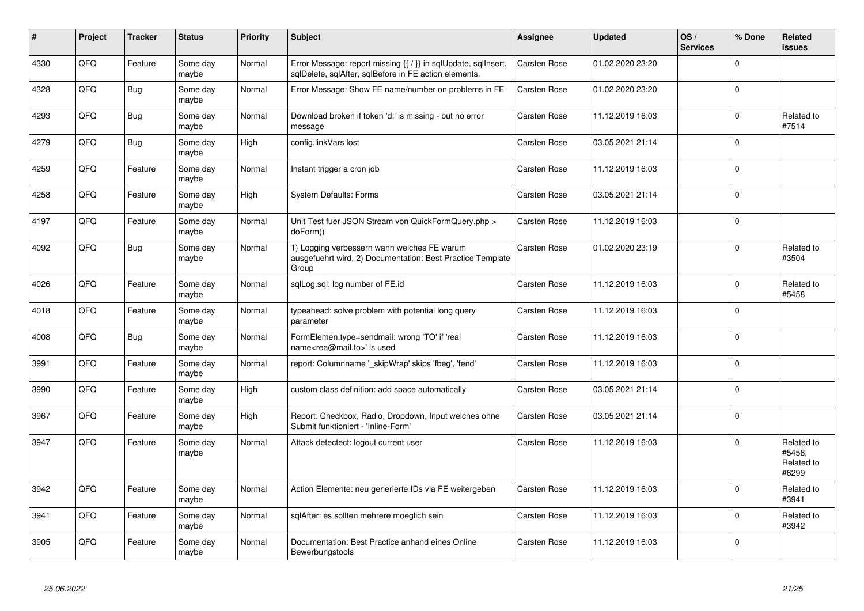| #    | Project | <b>Tracker</b> | <b>Status</b>     | <b>Priority</b> | <b>Subject</b>                                                                                                          | <b>Assignee</b>     | <b>Updated</b>   | OS/<br><b>Services</b> | % Done      | Related<br><b>issues</b>                    |
|------|---------|----------------|-------------------|-----------------|-------------------------------------------------------------------------------------------------------------------------|---------------------|------------------|------------------------|-------------|---------------------------------------------|
| 4330 | QFQ     | Feature        | Some day<br>maybe | Normal          | Error Message: report missing {{ / }} in sqlUpdate, sqlInsert,<br>sqlDelete, sqlAfter, sqlBefore in FE action elements. | <b>Carsten Rose</b> | 01.02.2020 23:20 |                        | $\Omega$    |                                             |
| 4328 | QFQ     | Bug            | Some day<br>maybe | Normal          | Error Message: Show FE name/number on problems in FE                                                                    | Carsten Rose        | 01.02.2020 23:20 |                        | $\Omega$    |                                             |
| 4293 | QFQ     | Bug            | Some day<br>maybe | Normal          | Download broken if token 'd:' is missing - but no error<br>message                                                      | Carsten Rose        | 11.12.2019 16:03 |                        | $\mathbf 0$ | Related to<br>#7514                         |
| 4279 | QFQ     | <b>Bug</b>     | Some day<br>maybe | High            | config.linkVars lost                                                                                                    | Carsten Rose        | 03.05.2021 21:14 |                        | $\Omega$    |                                             |
| 4259 | QFQ     | Feature        | Some day<br>maybe | Normal          | Instant trigger a cron job                                                                                              | Carsten Rose        | 11.12.2019 16:03 |                        | $\Omega$    |                                             |
| 4258 | QFQ     | Feature        | Some day<br>maybe | High            | <b>System Defaults: Forms</b>                                                                                           | Carsten Rose        | 03.05.2021 21:14 |                        | $\mathbf 0$ |                                             |
| 4197 | QFQ     | Feature        | Some day<br>maybe | Normal          | Unit Test fuer JSON Stream von QuickFormQuery.php ><br>doForm()                                                         | Carsten Rose        | 11.12.2019 16:03 |                        | $\Omega$    |                                             |
| 4092 | QFQ     | <b>Bug</b>     | Some day<br>maybe | Normal          | 1) Logging verbessern wann welches FE warum<br>ausgefuehrt wird, 2) Documentation: Best Practice Template<br>Group      | Carsten Rose        | 01.02.2020 23:19 |                        | $\Omega$    | Related to<br>#3504                         |
| 4026 | QFQ     | Feature        | Some day<br>maybe | Normal          | sglLog.sgl: log number of FE.id                                                                                         | Carsten Rose        | 11.12.2019 16:03 |                        | $\mathbf 0$ | Related to<br>#5458                         |
| 4018 | QFQ     | Feature        | Some day<br>maybe | Normal          | typeahead: solve problem with potential long query<br>parameter                                                         | Carsten Rose        | 11.12.2019 16:03 |                        | $\Omega$    |                                             |
| 4008 | QFQ     | <b>Bug</b>     | Some day<br>maybe | Normal          | FormElemen.type=sendmail: wrong 'TO' if 'real<br>name <rea@mail.to>' is used</rea@mail.to>                              | Carsten Rose        | 11.12.2019 16:03 |                        | $\mathbf 0$ |                                             |
| 3991 | QFQ     | Feature        | Some day<br>maybe | Normal          | report: Columnname ' skipWrap' skips 'fbeg', 'fend'                                                                     | Carsten Rose        | 11.12.2019 16:03 |                        | $\Omega$    |                                             |
| 3990 | QFQ     | Feature        | Some day<br>maybe | High            | custom class definition: add space automatically                                                                        | <b>Carsten Rose</b> | 03.05.2021 21:14 |                        | $\Omega$    |                                             |
| 3967 | QFQ     | Feature        | Some day<br>maybe | High            | Report: Checkbox, Radio, Dropdown, Input welches ohne<br>Submit funktioniert - 'Inline-Form'                            | <b>Carsten Rose</b> | 03.05.2021 21:14 |                        | $\mathbf 0$ |                                             |
| 3947 | QFQ     | Feature        | Some day<br>maybe | Normal          | Attack detectect: logout current user                                                                                   | Carsten Rose        | 11.12.2019 16:03 |                        | $\mathbf 0$ | Related to<br>#5458.<br>Related to<br>#6299 |
| 3942 | QFQ     | Feature        | Some day<br>maybe | Normal          | Action Elemente: neu generierte IDs via FE weitergeben                                                                  | Carsten Rose        | 11.12.2019 16:03 |                        | $\Omega$    | Related to<br>#3941                         |
| 3941 | QFQ     | Feature        | Some day<br>maybe | Normal          | sqlAfter: es sollten mehrere moeglich sein                                                                              | Carsten Rose        | 11.12.2019 16:03 |                        | $\mathbf 0$ | Related to<br>#3942                         |
| 3905 | QFQ     | Feature        | Some day<br>maybe | Normal          | Documentation: Best Practice anhand eines Online<br>Bewerbungstools                                                     | <b>Carsten Rose</b> | 11.12.2019 16:03 |                        | $\mathbf 0$ |                                             |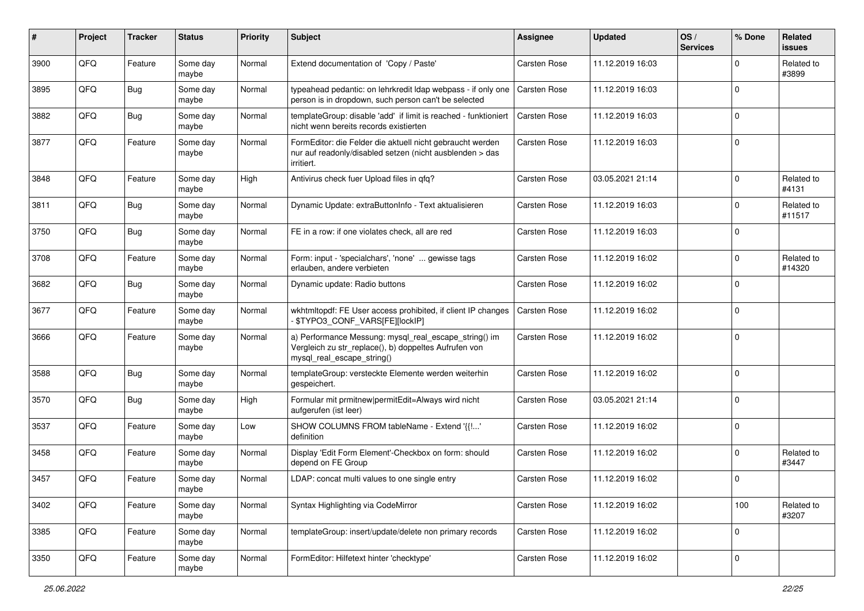| #    | Project | <b>Tracker</b> | <b>Status</b>     | <b>Priority</b> | <b>Subject</b>                                                                                                                               | Assignee     | <b>Updated</b>   | OS/<br><b>Services</b> | % Done      | Related<br>issues    |
|------|---------|----------------|-------------------|-----------------|----------------------------------------------------------------------------------------------------------------------------------------------|--------------|------------------|------------------------|-------------|----------------------|
| 3900 | QFQ     | Feature        | Some day<br>maybe | Normal          | Extend documentation of 'Copy / Paste'                                                                                                       | Carsten Rose | 11.12.2019 16:03 |                        | $\Omega$    | Related to<br>#3899  |
| 3895 | QFQ     | Bug            | Some day<br>maybe | Normal          | typeahead pedantic: on lehrkredit Idap webpass - if only one   Carsten Rose<br>person is in dropdown, such person can't be selected          |              | 11.12.2019 16:03 |                        | $\mathbf 0$ |                      |
| 3882 | QFQ     | <b>Bug</b>     | Some day<br>maybe | Normal          | templateGroup: disable 'add' if limit is reached - funktioniert<br>nicht wenn bereits records existierten                                    | Carsten Rose | 11.12.2019 16:03 |                        | $\mathbf 0$ |                      |
| 3877 | QFQ     | Feature        | Some day<br>maybe | Normal          | FormEditor: die Felder die aktuell nicht gebraucht werden<br>nur auf readonly/disabled setzen (nicht ausblenden > das<br>irritiert.          | Carsten Rose | 11.12.2019 16:03 |                        | $\mathbf 0$ |                      |
| 3848 | QFQ     | Feature        | Some day<br>maybe | High            | Antivirus check fuer Upload files in gfg?                                                                                                    | Carsten Rose | 03.05.2021 21:14 |                        | $\mathbf 0$ | Related to<br>#4131  |
| 3811 | QFQ     | <b>Bug</b>     | Some day<br>maybe | Normal          | Dynamic Update: extraButtonInfo - Text aktualisieren                                                                                         | Carsten Rose | 11.12.2019 16:03 |                        | $\mathbf 0$ | Related to<br>#11517 |
| 3750 | QFQ     | <b>Bug</b>     | Some day<br>maybe | Normal          | FE in a row: if one violates check, all are red                                                                                              | Carsten Rose | 11.12.2019 16:03 |                        | $\mathbf 0$ |                      |
| 3708 | QFQ     | Feature        | Some day<br>maybe | Normal          | Form: input - 'specialchars', 'none'  gewisse tags<br>erlauben, andere verbieten                                                             | Carsten Rose | 11.12.2019 16:02 |                        | $\mathbf 0$ | Related to<br>#14320 |
| 3682 | QFQ     | Bug            | Some day<br>maybe | Normal          | Dynamic update: Radio buttons                                                                                                                | Carsten Rose | 11.12.2019 16:02 |                        | $\mathbf 0$ |                      |
| 3677 | QFQ     | Feature        | Some day<br>maybe | Normal          | wkhtmltopdf: FE User access prohibited, if client IP changes<br>\$TYPO3_CONF_VARS[FE][lockIP]                                                | Carsten Rose | 11.12.2019 16:02 |                        | $\mathbf 0$ |                      |
| 3666 | QFQ     | Feature        | Some day<br>maybe | Normal          | a) Performance Messung: mysql_real_escape_string() im<br>Vergleich zu str_replace(), b) doppeltes Aufrufen von<br>mysql_real_escape_string() | Carsten Rose | 11.12.2019 16:02 |                        | $\mathbf 0$ |                      |
| 3588 | QFQ     | Bug            | Some day<br>maybe | Normal          | templateGroup: versteckte Elemente werden weiterhin<br>gespeichert.                                                                          | Carsten Rose | 11.12.2019 16:02 |                        | $\mathbf 0$ |                      |
| 3570 | QFQ     | Bug            | Some day<br>maybe | High            | Formular mit prmitnew permitEdit=Always wird nicht<br>aufgerufen (ist leer)                                                                  | Carsten Rose | 03.05.2021 21:14 |                        | $\mathbf 0$ |                      |
| 3537 | QFQ     | Feature        | Some day<br>maybe | Low             | SHOW COLUMNS FROM tableName - Extend '{{!'<br>definition                                                                                     | Carsten Rose | 11.12.2019 16:02 |                        | $\mathbf 0$ |                      |
| 3458 | QFQ     | Feature        | Some day<br>maybe | Normal          | Display 'Edit Form Element'-Checkbox on form: should<br>depend on FE Group                                                                   | Carsten Rose | 11.12.2019 16:02 |                        | $\mathbf 0$ | Related to<br>#3447  |
| 3457 | QFQ     | Feature        | Some day<br>maybe | Normal          | LDAP: concat multi values to one single entry                                                                                                | Carsten Rose | 11.12.2019 16:02 |                        | $\mathbf 0$ |                      |
| 3402 | QFQ     | Feature        | Some day<br>maybe | Normal          | Syntax Highlighting via CodeMirror                                                                                                           | Carsten Rose | 11.12.2019 16:02 |                        | 100         | Related to<br>#3207  |
| 3385 | QFQ     | Feature        | Some day<br>maybe | Normal          | templateGroup: insert/update/delete non primary records                                                                                      | Carsten Rose | 11.12.2019 16:02 |                        | $\mathbf 0$ |                      |
| 3350 | QFQ     | Feature        | Some day<br>maybe | Normal          | FormEditor: Hilfetext hinter 'checktype'                                                                                                     | Carsten Rose | 11.12.2019 16:02 |                        | $\mathbf 0$ |                      |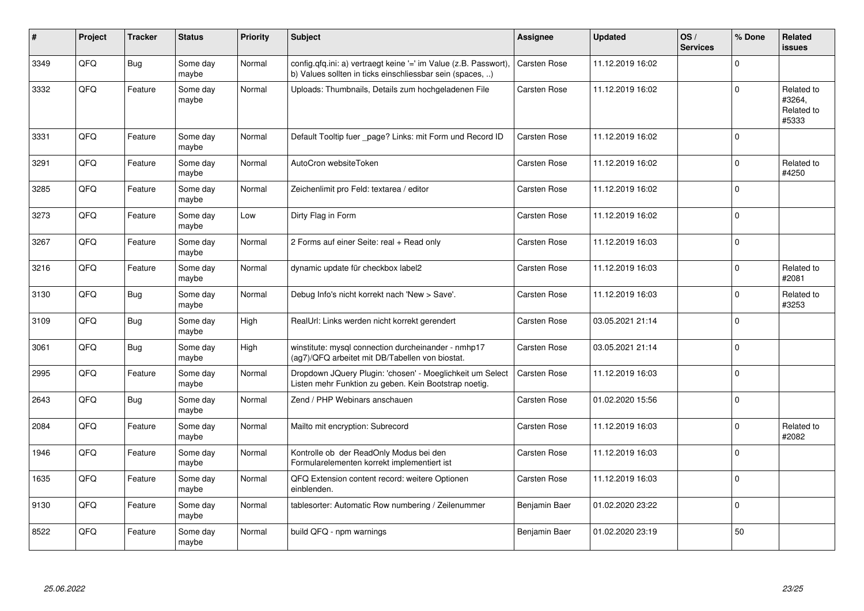| #    | Project | <b>Tracker</b> | <b>Status</b>     | <b>Priority</b> | <b>Subject</b>                                                                                                                | <b>Assignee</b>     | <b>Updated</b>   | OS/<br><b>Services</b> | % Done      | Related<br><b>issues</b>                    |
|------|---------|----------------|-------------------|-----------------|-------------------------------------------------------------------------------------------------------------------------------|---------------------|------------------|------------------------|-------------|---------------------------------------------|
| 3349 | QFQ     | Bug            | Some day<br>maybe | Normal          | config.qfq.ini: a) vertraegt keine '=' im Value (z.B. Passwort),<br>b) Values sollten in ticks einschliessbar sein (spaces, ) | Carsten Rose        | 11.12.2019 16:02 |                        | $\mathbf 0$ |                                             |
| 3332 | QFQ     | Feature        | Some day<br>maybe | Normal          | Uploads: Thumbnails, Details zum hochgeladenen File                                                                           | <b>Carsten Rose</b> | 11.12.2019 16:02 |                        | $\mathbf 0$ | Related to<br>#3264,<br>Related to<br>#5333 |
| 3331 | QFQ     | Feature        | Some day<br>maybe | Normal          | Default Tooltip fuer _page? Links: mit Form und Record ID                                                                     | <b>Carsten Rose</b> | 11.12.2019 16:02 |                        | $\Omega$    |                                             |
| 3291 | QFQ     | Feature        | Some day<br>maybe | Normal          | AutoCron websiteToken                                                                                                         | Carsten Rose        | 11.12.2019 16:02 |                        | $\mathbf 0$ | Related to<br>#4250                         |
| 3285 | QFQ     | Feature        | Some day<br>maybe | Normal          | Zeichenlimit pro Feld: textarea / editor                                                                                      | Carsten Rose        | 11.12.2019 16:02 |                        | $\mathbf 0$ |                                             |
| 3273 | QFQ     | Feature        | Some day<br>maybe | Low             | Dirty Flag in Form                                                                                                            | <b>Carsten Rose</b> | 11.12.2019 16:02 |                        | $\Omega$    |                                             |
| 3267 | QFQ     | Feature        | Some day<br>maybe | Normal          | 2 Forms auf einer Seite: real + Read only                                                                                     | Carsten Rose        | 11.12.2019 16:03 |                        | $\pmb{0}$   |                                             |
| 3216 | QFQ     | Feature        | Some day<br>maybe | Normal          | dynamic update für checkbox label2                                                                                            | <b>Carsten Rose</b> | 11.12.2019 16:03 |                        | $\mathbf 0$ | Related to<br>#2081                         |
| 3130 | QFQ     | <b>Bug</b>     | Some day<br>maybe | Normal          | Debug Info's nicht korrekt nach 'New > Save'.                                                                                 | <b>Carsten Rose</b> | 11.12.2019 16:03 |                        | $\Omega$    | Related to<br>#3253                         |
| 3109 | QFQ     | Bug            | Some day<br>maybe | High            | RealUrl: Links werden nicht korrekt gerendert                                                                                 | Carsten Rose        | 03.05.2021 21:14 |                        | $\mathbf 0$ |                                             |
| 3061 | QFQ     | Bug            | Some day<br>maybe | High            | winstitute: mysql connection durcheinander - nmhp17<br>(ag7)/QFQ arbeitet mit DB/Tabellen von biostat.                        | Carsten Rose        | 03.05.2021 21:14 |                        | $\Omega$    |                                             |
| 2995 | QFQ     | Feature        | Some day<br>maybe | Normal          | Dropdown JQuery Plugin: 'chosen' - Moeglichkeit um Select<br>Listen mehr Funktion zu geben. Kein Bootstrap noetig.            | <b>Carsten Rose</b> | 11.12.2019 16:03 |                        | $\mathbf 0$ |                                             |
| 2643 | QFQ     | Bug            | Some day<br>maybe | Normal          | Zend / PHP Webinars anschauen                                                                                                 | Carsten Rose        | 01.02.2020 15:56 |                        | $\Omega$    |                                             |
| 2084 | QFQ     | Feature        | Some day<br>maybe | Normal          | Mailto mit encryption: Subrecord                                                                                              | Carsten Rose        | 11.12.2019 16:03 |                        | $\Omega$    | Related to<br>#2082                         |
| 1946 | QFQ     | Feature        | Some day<br>maybe | Normal          | Kontrolle ob der ReadOnly Modus bei den<br>Formularelementen korrekt implementiert ist                                        | <b>Carsten Rose</b> | 11.12.2019 16:03 |                        | $\Omega$    |                                             |
| 1635 | QFQ     | Feature        | Some day<br>maybe | Normal          | QFQ Extension content record: weitere Optionen<br>einblenden.                                                                 | Carsten Rose        | 11.12.2019 16:03 |                        | $\Omega$    |                                             |
| 9130 | QFQ     | Feature        | Some day<br>maybe | Normal          | tablesorter: Automatic Row numbering / Zeilenummer                                                                            | Benjamin Baer       | 01.02.2020 23:22 |                        | $\mathbf 0$ |                                             |
| 8522 | QFQ     | Feature        | Some day<br>maybe | Normal          | build QFQ - npm warnings                                                                                                      | Benjamin Baer       | 01.02.2020 23:19 |                        | 50          |                                             |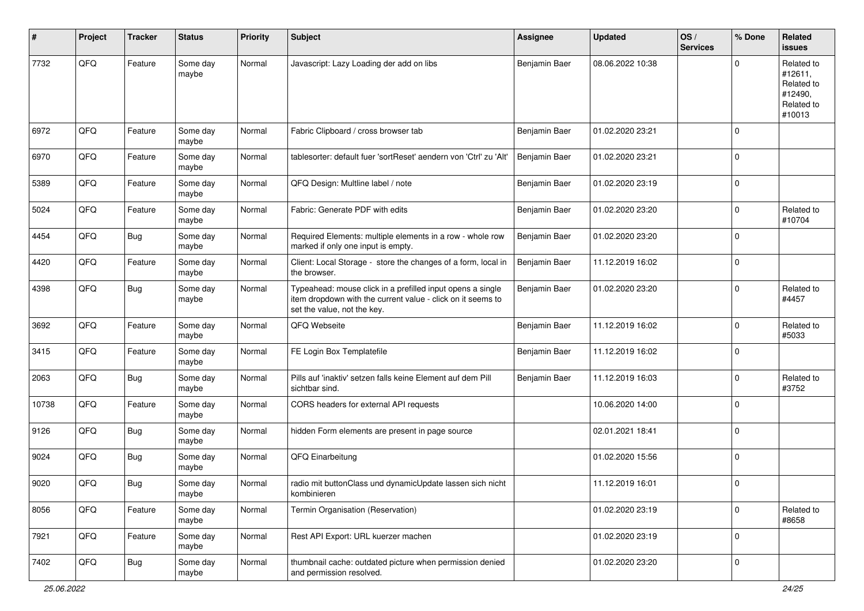| #     | Project | <b>Tracker</b> | <b>Status</b>     | <b>Priority</b> | <b>Subject</b>                                                                                                                                           | <b>Assignee</b> | <b>Updated</b>   | OS/<br><b>Services</b> | % Done      | Related<br><b>issues</b>                                               |
|-------|---------|----------------|-------------------|-----------------|----------------------------------------------------------------------------------------------------------------------------------------------------------|-----------------|------------------|------------------------|-------------|------------------------------------------------------------------------|
| 7732  | QFQ     | Feature        | Some day<br>maybe | Normal          | Javascript: Lazy Loading der add on libs                                                                                                                 | Benjamin Baer   | 08.06.2022 10:38 |                        | $\Omega$    | Related to<br>#12611,<br>Related to<br>#12490,<br>Related to<br>#10013 |
| 6972  | QFQ     | Feature        | Some day<br>maybe | Normal          | Fabric Clipboard / cross browser tab                                                                                                                     | Benjamin Baer   | 01.02.2020 23:21 |                        | $\Omega$    |                                                                        |
| 6970  | QFQ     | Feature        | Some day<br>maybe | Normal          | tablesorter: default fuer 'sortReset' aendern von 'Ctrl' zu 'Alt'                                                                                        | Benjamin Baer   | 01.02.2020 23:21 |                        | $\mathbf 0$ |                                                                        |
| 5389  | QFQ     | Feature        | Some day<br>maybe | Normal          | QFQ Design: Multline label / note                                                                                                                        | Benjamin Baer   | 01.02.2020 23:19 |                        | $\mathbf 0$ |                                                                        |
| 5024  | QFQ     | Feature        | Some day<br>maybe | Normal          | Fabric: Generate PDF with edits                                                                                                                          | Benjamin Baer   | 01.02.2020 23:20 |                        | $\mathbf 0$ | Related to<br>#10704                                                   |
| 4454  | QFQ     | Bug            | Some day<br>maybe | Normal          | Required Elements: multiple elements in a row - whole row<br>marked if only one input is empty.                                                          | Benjamin Baer   | 01.02.2020 23:20 |                        | $\mathbf 0$ |                                                                        |
| 4420  | QFQ     | Feature        | Some day<br>maybe | Normal          | Client: Local Storage - store the changes of a form, local in<br>the browser.                                                                            | Benjamin Baer   | 11.12.2019 16:02 |                        | $\mathbf 0$ |                                                                        |
| 4398  | QFQ     | <b>Bug</b>     | Some day<br>maybe | Normal          | Typeahead: mouse click in a prefilled input opens a single<br>item dropdown with the current value - click on it seems to<br>set the value, not the key. | Benjamin Baer   | 01.02.2020 23:20 |                        | $\mathbf 0$ | Related to<br>#4457                                                    |
| 3692  | QFQ     | Feature        | Some day<br>maybe | Normal          | QFQ Webseite                                                                                                                                             | Benjamin Baer   | 11.12.2019 16:02 |                        | $\mathbf 0$ | Related to<br>#5033                                                    |
| 3415  | QFQ     | Feature        | Some day<br>maybe | Normal          | FE Login Box Templatefile                                                                                                                                | Benjamin Baer   | 11.12.2019 16:02 |                        | $\mathbf 0$ |                                                                        |
| 2063  | QFQ     | Bug            | Some day<br>maybe | Normal          | Pills auf 'inaktiv' setzen falls keine Element auf dem Pill<br>sichtbar sind.                                                                            | Benjamin Baer   | 11.12.2019 16:03 |                        | $\mathbf 0$ | Related to<br>#3752                                                    |
| 10738 | QFQ     | Feature        | Some day<br>maybe | Normal          | CORS headers for external API requests                                                                                                                   |                 | 10.06.2020 14:00 |                        | $\Omega$    |                                                                        |
| 9126  | QFQ     | Bug            | Some day<br>maybe | Normal          | hidden Form elements are present in page source                                                                                                          |                 | 02.01.2021 18:41 |                        | $\mathbf 0$ |                                                                        |
| 9024  | QFQ     | Bug            | Some day<br>maybe | Normal          | QFQ Einarbeitung                                                                                                                                         |                 | 01.02.2020 15:56 |                        | $\mathbf 0$ |                                                                        |
| 9020  | QFQ     | <b>Bug</b>     | Some day<br>maybe | Normal          | radio mit buttonClass und dynamicUpdate lassen sich nicht<br>kombinieren                                                                                 |                 | 11.12.2019 16:01 |                        | $\mathbf 0$ |                                                                        |
| 8056  | QFQ     | Feature        | Some day<br>maybe | Normal          | Termin Organisation (Reservation)                                                                                                                        |                 | 01.02.2020 23:19 |                        | $\pmb{0}$   | Related to<br>#8658                                                    |
| 7921  | QFQ     | Feature        | Some day<br>maybe | Normal          | Rest API Export: URL kuerzer machen                                                                                                                      |                 | 01.02.2020 23:19 |                        | $\mathbf 0$ |                                                                        |
| 7402  | QFQ     | <b>Bug</b>     | Some day<br>maybe | Normal          | thumbnail cache: outdated picture when permission denied<br>and permission resolved.                                                                     |                 | 01.02.2020 23:20 |                        | $\mathbf 0$ |                                                                        |